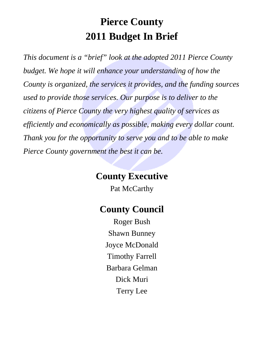# **Pierce County 2011 Budget In Brief**

*This document is a "brief" look at the adopted 2011 Pierce County budget. We hope it will enhance your understanding of how the County is organized, the services it provides, and the funding sources used to provide those services. Our purpose is to deliver to the citizens of Pierce County the very highest quality of services as efficiently and economically as possible, making every dollar count. Thank you for the opportunity to serve you and to be able to make Pierce County government the best it can be.* 

# **County Executive**

Pat McCarthy

# **County Council**

Roger Bush Shawn Bunney Joyce McDonald Timothy Farrell Barbara Gelman Dick Muri Terry Lee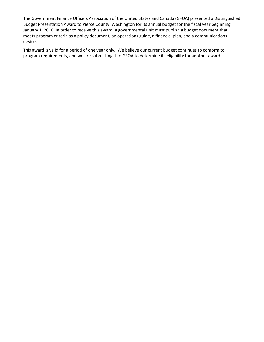The Government Finance Officers Association of the United States and Canada (GFOA) presented a Distinguished Budget Presentation Award to Pierce County, Washington for its annual budget for the fiscal year beginning January 1, 2010. In order to receive this award, a governmental unit must publish a budget document that meets program criteria as a policy document, an operations guide, a financial plan, and a communications device.

This award is valid for a period of one year only. We believe our current budget continues to conform to program requirements, and we are submitting it to GFOA to determine its eligibility for another award.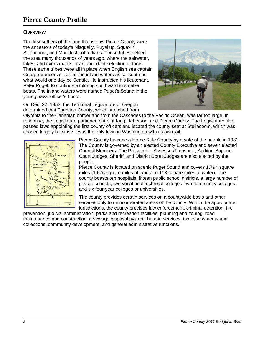## **Pierce County Profile**

#### **OVERVIEW**

The first settlers of the land that is now Pierce County were the ancestors of today's Nisqually, Puyallup, Squaxin, Steilacoom, and Muckleshoot Indians. These tribes settled the area many thousands of years ago, where the saltwater, lakes, and rivers made for an abundant selection of food. These same tribes were all in place when English sea captain George Vancouver sailed the inland waters as far south as what would one day be Seattle. He instructed his lieutenant, Peter Puget, to continue exploring southward in smaller boats. The inland waters were named Puget's Sound in the young naval officer's honor.



On Dec. 22, 1852, the Territorial Legislature of Oregon determined that Thurston County, which stretched from

Olympia to the Canadian border and from the Cascades to the Pacific Ocean, was far too large. In response, the Legislature portioned out of it King, Jefferson, and Pierce County. The Legislature also passed laws appointing the first county officers and located the county seat at Steilacoom, which was chosen largely because it was the only town in Washington with its own jail.



Pierce County became a Home Rule County by a vote of the people in 1981. The County is governed by an elected County Executive and seven elected Council Members. The Prosecutor, Assessor/Treasurer, Auditor, Superior Court Judges, Sheriff, and District Court Judges are also elected by the people.

Pierce County is located on scenic Puget Sound and covers 1,794 square miles (1,676 square miles of land and 118 square miles of water). The county boasts ten hospitals, fifteen public school districts, a large number of private schools, two vocational technical colleges, two community colleges, and six four-year colleges or universities.

The county provides certain services on a countywide basis and other services only to unincorporated areas of the county. Within the appropriate jurisdictions, the county provides law enforcement, criminal detention, fire

prevention, judicial administration, parks and recreation facilities, planning and zoning, road maintenance and construction, a sewage disposal system, human services, tax assessments and collections, community development, and general administrative functions.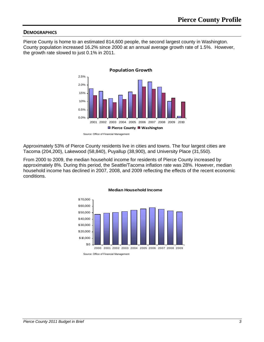#### **DEMOGRAPHICS**

Pierce County is home to an estimated 814,600 people, the second largest county in Washington. County population increased 16.2% since 2000 at an annual average growth rate of 1.5%. However, the growth rate slowed to just 0.1% in 2011.



Source: Office of Financial Management

Approximately 53% of Pierce County residents live in cities and towns. The four largest cities are Tacoma (204,200), Lakewood (58,840), Puyallup (38,900), and University Place (31,550).

From 2000 to 2009, the median household income for residents of Pierce County increased by approximately 8%. During this period, the Seattle/Tacoma inflation rate was 28%. However, median household income has declined in 2007, 2008, and 2009 reflecting the effects of the recent economic conditions.



#### **Median Household Income**

Source: Office of Financial Management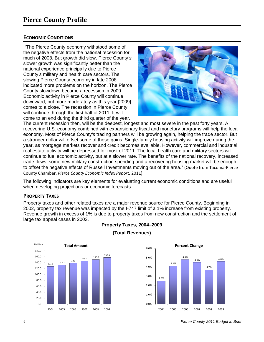#### **E ECONOMIC C CONDITIONS**

the negative effects from the national recession for much of 2008. But growth did slow. Pierce County's slower growth was significantly better than the national experience principally due to Pierce County's military and health care sectors. The slowing Pierce County economy in late 2008 indicated more problems on the horizon. The Pierce County slowdown became a recession in 2009. Economic activity in Pierce County will continue downward, but more moderately as this year [2009] comes to a close. The recession in Pierce County will continue through the first half of 2011. It will come to an end during the third quarter of the year. "The Pierce County economy withstood some of



The current recession then, will be the deepest, longest and most severe in the past forty years. A recovering U.S. economy combined with expansionary fiscal and monetary programs will help the local economy. Most of Pierce County's trading partners will be growing again, helping the trade sector. But a stronger dollar will offset some of those gains. Single-family housing activity will improve during the year, as mortgage markets recover and credit becomes available. However, commercial and industrial real estate activity will be depressed for most of 2011. The local health care and military sectors will continue to fuel economic activity, but at a slower rate. The benefits of the national recovery, increased trade flows, some new military construction spending and a recovering housing market will be enough to offset the negative effects of Russell Investments moving out of the area." (Quote from Tacoma-Pierce C County Cham ber, *Pierce Co ounty Econom mic Index Rep port,* 2011)

The following indicators are key elements for evaluating current economic conditions and are useful when developing projections or economic forecasts.

#### **PROPERTY TAXES**

Property taxes and other related taxes are a major revenue source for Pierce County. Beginning in 2002, property tax revenue was impacted by the I-747 limit of a 1% increase from existing property. Revenue growth in excess of 1% is due to property taxes from new construction and the settlement of large tax appeal cases in 2003.



### **Property T Taxes, 2004 4–2009**



#### **(Total Revenues)**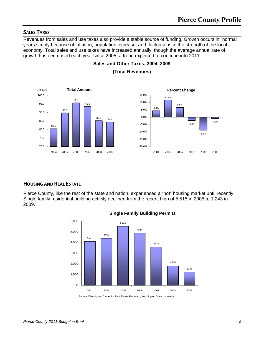#### **SALES TAXES**

Revenues from sales and use taxes also provide a stable source of funding. Growth occurs in "normal" years simply because of inflation, population increase, and fluctuations in the strength of the local economy. Total sales and use taxes have increased annually, though the average annual rate of growth has decreased each year since 2005, a trend expected to continue into 2011.



**Sales and Other Taxes, 2004–2009 (Total Revenues)** 

#### **HOUSING AND REAL ESTATE**

Pierce County, like the rest of the state and nation, experienced a "hot" housing market until recently. Single family residential building activity declined from the recent high of 5,515 in 2005 to 1,243 in 2009.





Source: Washington Center for Real Estate Research, Washington State University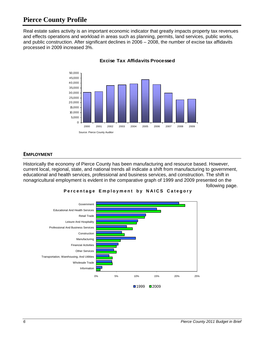## **Pierce County Profile**

Real estate sales activity is an important economic indicator that greatly impacts property tax revenues and effects operations and workload in areas such as planning, permits, land services, public works, and public construction. After significant declines in 2006 – 2008, the number of excise tax affidavits processed in 2009 increased 3%.



#### **Excise Tax Affidavits Processed**

#### **EMPLOYMENT**

Historically the economy of Pierce County has been manufacturing and resource based. However, current local, regional, state, and national trends all indicate a shift from manufacturing to government, educational and health services, professional and business services, and construction. The shift in nonagricultural employment is evident in the comparative graph of 1999 and 2009 presented on the following page.



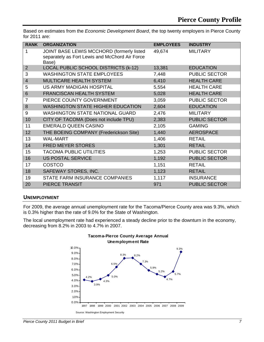Based on estimates from the *Economic Development Board*, the top twenty employers in Pierce County for 2011 are:

| <b>RANK</b>    | <b>ORGANIZATION</b>                                                                                  | <b>EMPLOYEES</b> | <b>INDUSTRY</b>      |
|----------------|------------------------------------------------------------------------------------------------------|------------------|----------------------|
| 1              | JOINT BASE LEWIS MCCHORD (formerly listed<br>separately as Fort Lewis and McChord Air Force<br>Base) | 49,674           | <b>MILITARY</b>      |
| $\overline{2}$ | LOCAL PUBLIC SCHOOL DISTRICTS (k-12)                                                                 | 13,381           | <b>EDUCATION</b>     |
| 3              | <b>WASHINGTON STATE EMPLOYEES</b>                                                                    | 7,448            | <b>PUBLIC SECTOR</b> |
| $\overline{4}$ | MULTICARE HEALTH SYSTEM                                                                              | 6,410            | <b>HEALTH CARE</b>   |
| 5              | US ARMY MADIGAN HOSPITAL                                                                             | 5,554            | <b>HEALTH CARE</b>   |
| 6              | <b>FRANCISCAN HEALTH SYSTEM</b>                                                                      | 5,028            | <b>HEALTH CARE</b>   |
| 7              | PIERCE COUNTY GOVERNMENT                                                                             | 3,059            | <b>PUBLIC SECTOR</b> |
| 8              | <b>WASHINGTON STATE HIGHER EDUCATION</b>                                                             | 2,604            | <b>EDUCATION</b>     |
| 9              | <b>WASHINGTON STATE NATIONAL GUARD</b>                                                               | 2,476            | <b>MILITARY</b>      |
| 10             | CITY OF TACOMA (Does not include TPU)                                                                | 2,383            | <b>PUBLIC SECTOR</b> |
| 11             | <b>EMERALD QUEEN CASINO</b>                                                                          | 2,105            | <b>GAMING</b>        |
| 12             | THE BOEING COMPANY (Frederickson Site)                                                               | 1,440            | <b>AEROSPACE</b>     |
| 13             | <b>WAL-MART</b>                                                                                      | 1,406            | <b>RETAIL</b>        |
| 14             | <b>FRED MEYER STORES</b>                                                                             | 1,301            | <b>RETAIL</b>        |
| 15             | <b>TACOMA PUBLIC UTILITIES</b>                                                                       | 1,253            | <b>PUBLIC SECTOR</b> |
| 16             | <b>US POSTAL SERVICE</b>                                                                             | 1,192            | <b>PUBLIC SECTOR</b> |
| 17             | <b>COSTCO</b>                                                                                        | 1,151            | <b>RETAIL</b>        |
| 18             | SAFEWAY STORES, INC.                                                                                 | 1,123            | <b>RETAIL</b>        |
| 19             | STATE FARM INSURANCE COMPANIES                                                                       | 1,117            | <b>INSURANCE</b>     |
| 20             | <b>PIERCE TRANSIT</b>                                                                                | 971              | <b>PUBLIC SECTOR</b> |

#### **UNEMPLOYMENT**

For 2009, the average annual unemployment rate for the Tacoma/Pierce County area was 9.3%, which is 0.3% higher than the rate of 9.0% for the State of Washington.

The local unemployment rate had experienced a steady decline prior to the downturn in the economy, decreasing from 8.2% in 2003 to 4.7% in 2007.



#### **Tacoma-Pierce County Average Annual Unemployment Rate**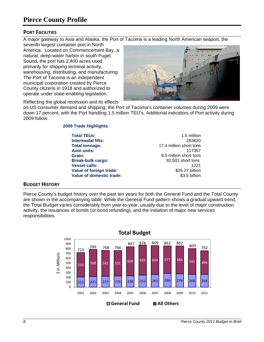## **Pierce County Profile**

#### **PORT FACILITIES**

A major gateway to Asia and Alaska, the Port of Tacoma is a leading North American seaport, the

seventh largest container port in North America. Located on Commencement Bay, a natural, deep-water harbor in south Puget Sound, the port has 2,400 acres used primarily for shipping terminal activity, warehousing, distributing, and manufacturing. The Port of Tacoma is an independent municipal corporation created by Pierce County citizens in 1918 and authorized to operate under state-enabling legislation.



Reflecting the global recession and its effects

on US consumer demand and shipping, the Port of Tacoma's container volumes during 2009 were down 17 percent, with the Port handling 1.5 million TEU's. Additional indicators of Port activity during 2009 follow.

**2009 Trade Highlights**:

| <b>Total TEUs:</b>       | 1.5 million             |
|--------------------------|-------------------------|
| <b>Intermodal lifts:</b> | 283820                  |
| <b>Total tonnage:</b>    | 17.4 million short tons |
| <b>Auto units:</b>       | 117357                  |
| Grain:                   | 6.5 million short tons  |
| <b>Break-bulk cargo:</b> | 92,501 short tons       |
| <b>Vessel calls:</b>     | 1221                    |
| Value of foreign trade:  | \$25.27 billion         |
| Value of domestic trade: | \$3.5 billion           |

#### **BUDGET HISTORY**

Pierce County's budget history over the past ten years for both the General Fund and the Total County are shown in the accompanying table. While the General Fund pattern shows a gradual upward trend, the Total Budget varies considerably from year-to-year, usually due to the level of major construction activity, the issuances of bonds (or bond refunding), and the initiation of major new services responsibilities.

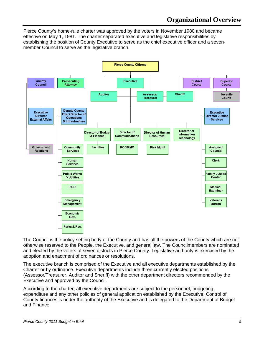Pierce County's home-rule charter was approved by the voters in November 1980 and became effective on May 1, 1981. The charter separated executive and legislative responsibilities by establishing the position of County Executive to serve as the chief executive officer and a sevenmember Council to serve as the legislative branch.



The Council is the policy setting body of the County and has all the powers of the County which are not otherwise reserved to the People, the Executive, and general law. The Councilmembers are nominated and elected by the voters of seven districts in Pierce County. Legislative authority is exercised by the adoption and enactment of ordinances or resolutions.

The executive branch is comprised of the Executive and all executive departments established by the Charter or by ordinance. Executive departments include three currently elected positions (Assessor/Treasurer, Auditor and Sheriff) with the other department directors recommended by the Executive and approved by the Council.

According to the charter, all executive departments are subject to the personnel, budgeting, expenditure and any other policies of general application established by the Executive. Control of County finances is under the authority of the Executive and is delegated to the Department of Budget and Finance.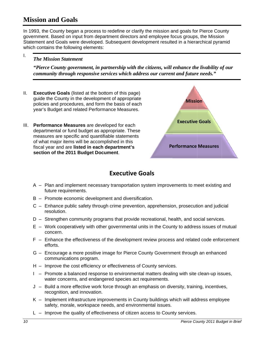## **Mission and Goals**

In 1993, the County began a process to redefine or clarify the mission and goals for Pierce County government. Based on input from department directors and employee focus groups, the Mission Statement and Goals were developed. Subsequent development resulted in a hierarchical pyramid which contains the following elements:

## *The Mission Statement*

 $\mathbf{I}$ .

"Pierce County government, in partnership with the citizens, will enhance the livability of our *commun nity through h responsive e services wh hich address s our curren nt and future e needs."*

- II. I. **Executive Goals** (listed at the bottom of this page) guide the County in the development of appropriate policies and procedures, and form the basis of each year's Budget and related Performance Measures.
- III. Performance Measures are developed for each departmental or fund budget as appropriate. These measures are specific and quantifiable statements of what major items will be accomplished in this fiscal year and are listed in each department's **section n of the 2011 1 Budget D ocument**.



## **Executive Goals**

- A Plan and implement necessary transportation system improvements to meet existing and future requirements.
- B Promote economic development and diversification.
- C Enhance public safety through crime prevention, apprehension, prosecution and judicial res solution.
- D Strengthen community programs that provide recreational, health, and social services.
- E Work cooperatively with other governmental units in the County to address issues of mutual co oncern.
- F Enhance the effectiveness of the development review process and related code enforcement eff forts.
- G Encourage a more positive image for Pierce County Government through an enhanced communications program. communications program.<br>H - Improve the cost efficiency or effectiveness of County services.
- 
- I Promote a balanced response to environmental matters dealing with site clean-up issues, water concerns, and endangered species act requirements.
- J Build a more effective work force through an emphasis on diversity, training, incentives, recognition, and innovation.
- K Implement infrastructure improvements in County buildings which will address employee safety, morale, workspace needs, and environmental issues.
- L Improve the quality of effectiveness of citizen access to County services.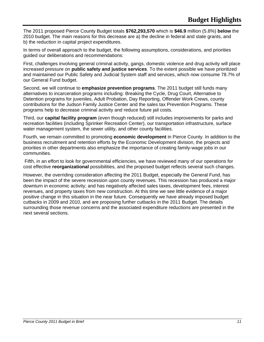The 2011 proposed Pierce County Budget totals **\$762,293,570** which is **\$46.9** million (5.8%) **below** the 2010 budget. The main reasons for this decrease are a) the decline in federal and state grants, and b) the reduction in capital project expenditures.

In terms of overall approach to the budget, the following assumptions, considerations, and priorities guided our deliberations and recommendations:

First, challenges involving general criminal activity, gangs, domestic violence and drug activity will place increased pressure on **public safety and justice services**. To the extent possible we have prioritized and maintained our Public Safety and Judicial System staff and services, which now consume 78.7% of our General Fund budget.

Second, we will continue to **emphasize prevention programs**. The 2011 budget still funds many alternatives to incarceration programs including: Breaking the Cycle, Drug Court, Alternative to Detention programs for juveniles, Adult Probation, Day Reporting, Offender Work Crews, county contributions for the Judson Family Justice Center and the sales tax Prevention Programs. These programs help to decrease criminal activity and reduce future jail costs.

Third, our **capital facility program** (even though reduced) still includes improvements for parks and recreation facilities (including Sprinker Recreation Center), our transportation infrastructure, surface water management system, the sewer utility, and other county facilities.

Fourth, we remain committed to promoting **economic development** in Pierce County. In addition to the business recruitment and retention efforts by the Economic Development division, the projects and priorities in other departments also emphasize the importance of creating family-wage jobs in our communities.

 Fifth, in an effort to look for governmental efficiencies, we have reviewed many of our operations for cost effective **reorganizational** possibilities, and the proposed budget reflects several such changes.

However, the overriding consideration affecting the 2011 Budget, especially the General Fund, has been the impact of the severe recession upon county revenues. This recession has produced a major downturn in economic activity; and has negatively affected sales taxes, development fees, interest revenues, and property taxes from new construction. At this time we see little evidence of a major positive change in this situation in the near future. Consequently we have already imposed budget cutbacks in 2009 and 2010, and are proposing further cutbacks in the 2011 Budget. The details surrounding those revenue concerns and the associated expenditure reductions are presented in the next several sections.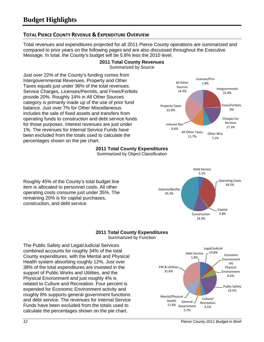#### **TOTAL PIERCE COUNTY REVENUE & EXPENDITURE OVERVIEW**

Total revenues and expenditures projected for all 2011 Pierce County operations are summarized and compared to prior years on the following pages and are also discussed throughout the Executive Message. In total, the County's budget will be 5.8% less the 2010 level.

#### **2011 Total County Revenues**  Summarized by Source

Just over 22% of the County's funding comes from Intergovernmental Revenues. Property and Other Taxes equals just under 36% of the total revenues. Service Charges, Licenses/Permits, and Fines/Forfeits provide 20%. Roughly 14% in All Other Sources category is primarily made up of the use of prior fund balance. Just over 7% for Other Miscellaneous includes the sale of fixed assets and transfers from operating funds to construction and debt service funds for those purposes. Interest revenues are just under 1%. The revenues for Internal Service Funds have been excluded from the totals used to calculate the percentages shown on the pie chart.



Debt Service 5.1%

Salaries/Benfits 45.3%

Operating Costs 34.5%

Capital

Construction 0.8%

14.3%

## **2011 Total County Expenditures**

Summarized by Object Classification

Roughly 45% of the County's total budget line item is allocated to personnel costs. All other operating costs consume just under 35%. The remaining 20% is for capital purchases, construction, and debt service.

#### **2011 Total County Expenditures**  Summarized by Function

The Public Safety and Legal/Judicial Services combined accounts for roughly 34% of the total County expenditures, with the Mental and Physical Health system absorbing roughly 12%. Just over 38% of the total expenditures are invested in the support of Public Works and Utilities, and the Physical Environment and just roughly 4% is related to Culture and Recreation. Four percent is expended for Economic Environment activity and roughly 8% supports general government functions and debt service. The revenues for Internal Service Funds have been excluded from the totals used to calculate the percentages shown on the pie chart.

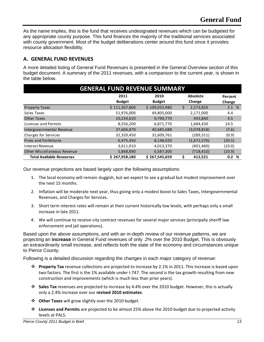As the name implies, this is the fund that receives undesignated revenues which can be budgeted for any appropriate county purpose. This fund finances the majority of the traditional services associated with county government. Most of the budget deliberations center around this fund since it provides resource allocation flexibility.

#### **A. GENERAL FUND REVENUES**

A more detailed listing of General Fund Revenues is presented in the General Overview section of this budget document. A summary of the 2011 revenues, with a comparison to the current year, is shown in the table below.

| <b>GENERAL FUND REVENUE SUMMARY</b> |               |               |                 |         |  |  |  |
|-------------------------------------|---------------|---------------|-----------------|---------|--|--|--|
|                                     | 2011          | 2010          | Absolute        | Percent |  |  |  |
|                                     | <b>Budget</b> | <b>Budget</b> | Change          | Change  |  |  |  |
| <b>Property Taxes</b>               | \$111,307,800 | \$109,033,980 | \$<br>2,273,820 | 2.1%    |  |  |  |
| Sales Taxes                         | 51,976,000    | 49,805,000    | 2,171,000       | 4.4     |  |  |  |
| <b>Other Taxes</b>                  | 10,234,610    | 9,790,770     | 443,840         | 4.5     |  |  |  |
| Licenses and Permits                | 8,556,200     | 6,871,770     | 1,684,430       | 24.5    |  |  |  |
| Intergovernmental Revenue           | 37,606,870    | 40,685,688    | (3,078,818)     | (7.6)   |  |  |  |
| Charges for Services                | 32,320,450    | 32,609,761    | (289, 311)      | (0.9)   |  |  |  |
| Fines and Forfeitures               | 6,475,450     | 8,148,020     | (1,672,570)     | (20.5)  |  |  |  |
| Interest Revenue                    | 3,611,910     | 4,013,370     | (401, 460)      | (10.0)  |  |  |  |
| Other Miscellaneous Revenue         | 5,868,890     | 6,587,300     | (718, 410)      | (10.9)  |  |  |  |
| <b>Total Available Resources</b>    | \$267,958,180 | \$267,545,659 | 412.521         | 0.2%    |  |  |  |

Our revenue projections are based largely upon the following assumptions:

- 1. The local economy will remain sluggish, but we expect to see a gradual but modest improvement over the next 15 months.
- 2. Inflation will be moderate next year, thus giving only a modest boost to Sales Taxes, Intergovernmental Revenues, and Charges for Services.
- 3. Short term interest rates will remain at their current historically low levels, with perhaps only a small increase in late 2011.
- 4. We will continue to receive city contract revenues for several major services (principally sheriff law enforcement and jail operations).

Based upon the above assumptions, and with an in-depth review of our revenue patterns, we are projecting an **increase** in General Fund revenues of only .2% over the 2010 Budget. This is obviously an extraordinarily small increase, and reflects both the state of the economy and circumstances unique to Pierce County.

Following is a detailed discussion regarding the changes in each major category of revenue:

- **Property Tax** revenue collections are projected to increase by 2.1% in 2011. This increase is based upon two factors. The first is the 1% available under I‐747. The second is the tax growth resulting from new construction and improvements (which is much less than prior years).
- **Sales Tax** revenues are projected to increase by 4.4% over the 2010 budget. However, this is actually only a 2.4% increase over our **revised 2010 estimates**.
- **Other Taxes** will grow slightly over the 2010 budget.
- **Licenses and Permits** are projected to be almost 25% above the 2010 budget due to projected activity levels at PALS.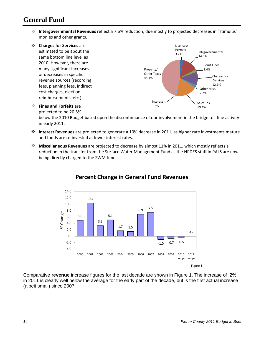## **General Fund**

 **Intergovernmental Revenues** reflect a 7.6% reduction, due mostly to projected decreases in "stimulus" monies and other grants.



projected to be 20.5%

below the 2010 Budget based upon the discontinuance of our involvement in the bridge toll fine activity in early 2011.

- **Interest Revenues** are projected to generate a 10% decrease in 2011, as higher rate investments mature and funds are re‐invested at lower interest rates.
- **Miscellaneous Revenues** are projected to decrease by almost 11% in 2011, which mostly reflects a reduction in the transfer from the Surface Water Management Fund as the NPDES staff in PALS are now being directly charged to the SWM fund.



#### **Percent Change in General Fund Revenues**

Comparative **revenue** increase figures for the last decade are shown in Figure 1. The increase of .2% in 2011 is clearly well below the average for the early part of the decade, but is the first actual increase (albeit small) since 2007.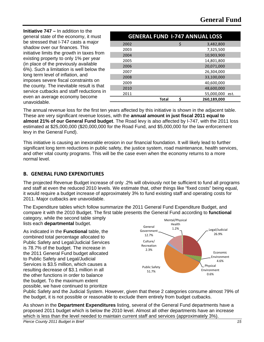**Initiative 747 –** In addition to the general state of the economy, it must be stressed that I-747 casts a major shadow over our finances. This initiative limits the growth in taxes from existing property to only 1% per year (in place of the previously available 6%). Such a limitation is well below the long term level of inflation, and imposes severe fiscal constraints on the county. The inevitable result is that service cutbacks and staff reductions in even an average economy become unavoidable.

|      |       | <b>GENERAL FUND 1-747 ANNUAL LOSS</b> |  |
|------|-------|---------------------------------------|--|
| 2002 |       | \$<br>3,482,800                       |  |
| 2003 |       | 7,325,500                             |  |
| 2004 |       | 10,903,900                            |  |
| 2005 |       | 14,801,800                            |  |
| 2006 |       | 20,071,000                            |  |
| 2007 |       | 26.304.000                            |  |
| 2008 |       | 33,100,000                            |  |
| 2009 |       | 40,600,000                            |  |
| 2010 |       | 48,600,000                            |  |
| 2011 |       | 55,000,000 est.                       |  |
|      | Total | 260,189,000                           |  |

The annual revenue loss for the first ten years affected by this initiative is shown in the adjacent table. These are very significant revenue losses, with the **annual amount in just fiscal 2011 equal to almost 21% of our General Fund budget**. The Road levy is also affected by I-747, with the 2011 loss estimated at \$25,000,000 (\$20,000,000 for the Road Fund, and \$5,000,000 for the law enforcement levy in the General Fund).

This initiative is causing an inexorable erosion in our financial foundation. It will likely lead to further significant long term reductions in public safety, the justice system, road maintenance, health services, and other vital county programs. This will be the case even when the economy returns to a more normal level.

#### **B. GENERAL FUND EXPENDITURES**

The projected Revenue Budget increase of only .2% will obviously not be sufficient to fund all programs and staff at even the reduced 2010 levels. We estimate that, other things like "fixed costs" being equal, it would require a budget increase of approximately 3% to fund existing staff and operating costs for 2011. Major cutbacks are unavoidable.

The Expenditure tables which follow summarize the 2011 General Fund Expenditure Budget, and compare it with the 2010 Budget. The first table presents the General Fund according to **functional** category, while the second table simply

lists each **departmental** budget.

As indicated in the **Functional** table, the combined total percentage allocated to Public Safety and Legal/Judicial Services is 78.7% of the budget. The increase in the 2011 General Fund budget allocated to Public Safety and Legal/Judicial Services is \$3.5 million, which causes a resulting decrease of \$3.1 million in all the other functions in order to balance the budget. To the maximum extent possible, we have continued to prioritize



Public Safety and the Judicial System. However, given that these 2 categories consume almost 79% of the budget, it is not possible or reasonable to exclude them entirely from budget cutbacks.

As shown in the **Department Expenditures** listing, several of the General Fund departments have a proposed 2011 budget which is below the 2010 level. Almost all other departments have an increase which is less than the level needed to maintain current staff and services (approximately 3%).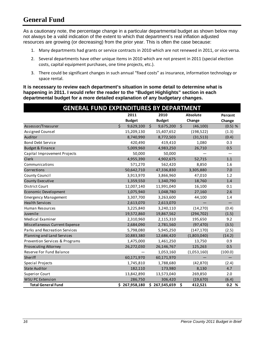## **General Fund**

As a cautionary note, the percentage change in a particular departmental budget as shown below may not always be a valid indication of the extent to which that department's real inflation adjusted resources are growing (or decreasing) from the prior year. This is often the case because:

- 1. Many departments had grants or service contracts in 2010 which are not renewed in 2011, or vice versa.
- 2. Several departments have other unique items in 2010 which are not present in 2011 (special election costs, capital equipment purchases, one time projects, etc.).
- 3. There could be significant changes in such annual "fixed costs" as insurance, information technology or space rental.

**It is necessary to review each department's situation in some detail to determine what is happening in 2011. I would refer the reader to the "Budget Highlights" section in each departmental budget for a more detailed explanation of any budgetary changes.** 

| <b>GENERAL FUND EXPENDITURES BY DEPARTMENT</b> |                         |               |         |               |         |                 |           |
|------------------------------------------------|-------------------------|---------------|---------|---------------|---------|-----------------|-----------|
|                                                |                         | 2011          |         | 2010          |         | <b>Absolute</b> | Percent   |
|                                                |                         | <b>Budget</b> |         | <b>Budget</b> |         | Change          | Change    |
| Assessor/Treasurer                             | $\overline{\mathsf{S}}$ | 9,629,100     | $\zeta$ | 9,675,200     | $\zeta$ | (46, 100)       | $(0.5)$ % |
| Assigned Counsel                               |                         | 15,209,130    |         | 15,407,652    |         | (198, 522)      | (1.3)     |
| Auditor                                        |                         | 8,740,990     |         | 8,772,503     |         | (31,513)        | (0.4)     |
| <b>Bond Debt Service</b>                       |                         | 420,490       |         | 419,410       |         | 1,080           | 0.3       |
| <b>Budget &amp; Finance</b>                    |                         | 5,009,960     |         | 4,983,250     |         | 26,710          | 0.5       |
| Capital Improvement Projects                   |                         | 50,000        |         | 50,000        |         |                 |           |
| Clerk                                          |                         | 4,955,390     |         | 4,902,675     |         | 52,715          | 1.1       |
| Communications                                 |                         | 571,270       |         | 562,420       |         | 8,850           | 1.6       |
| Corrections                                    |                         | 50,642,710    |         | 47,336,830    |         | 3,305,880       | 7.0       |
| County Council                                 |                         | 3,913,970     |         | 3,866,960     |         | 47,010          | 1.2       |
| <b>County Executive</b>                        |                         | 1,359,550     |         | 1,340,790     |         | 18,760          | 1.4       |
| <b>District Court</b>                          |                         | 12,007,140    |         | 11,991,040    |         | 16,100          | 0.1       |
| Economic Development                           |                         | 1,075,940     |         | 1,048,780     |         | 27,160          | 2.6       |
| <b>Emergency Management</b>                    |                         | 3,307,700     |         | 3,263,600     |         | 44,100          | 1.4       |
| <b>Health Services</b>                         |                         | 2,613,070     |         | 2,613,070     |         |                 |           |
| <b>Human Resources</b>                         |                         | 3,225,840     |         | 3,240,110     |         | (14, 270)       | (0.4)     |
| Juvenile                                       |                         | 19,572,860    |         | 19,867,562    |         | (294, 702)      | (1.5)     |
| Medical Examiner                               |                         | 2,310,960     |         | 2,115,310     |         | 195,650         | 9.2       |
| Miscellaneous Current Expense                  |                         | 2,684,090     |         | 2,781,560     |         | (97, 470)       | (3.5)     |
| Parks and Recreation Services                  |                         | 5,798,080     |         | 5,945,250     |         | (147, 170)      | (2.5)     |
| Planning and Land Services                     |                         | 10,883,380    |         | 12,686,420    |         | (1,803,040)     | (14.2)    |
| Prevention Services & Programs                 |                         | 1,475,000     |         | 1,461,250     |         | 13,750          | 0.9       |
| <b>Prosecuting Attorney</b>                    |                         | 26,272,030    |         | 26,146,767    |         | 125,263         | 0.5       |
| Reserve For Fund Balance                       |                         |               |         | 1,053,160     |         | (1,053,160)     | (100.0)   |
| Sheriff                                        |                         | 60,171,970    |         | 60,171,970    |         |                 |           |
| Special Projects                               |                         | 1,745,810     |         | 1,788,680     |         | (42, 870)       | (2.4)     |
| <b>State Auditor</b>                           |                         | 182,110       |         | 173,980       |         | 8,130           | 4.7       |
| <b>Superior Court</b>                          |                         | 13,842,890    |         | 13,573,040    |         | 269,850         | 2.0       |
| <b>WSU PC Extension</b>                        |                         | 286,750       |         | 306,420       |         | (19,670)        | (6.4)     |
| <b>Total General Fund</b>                      |                         | \$267,958,180 |         | \$267,545,659 | \$      | 412,521         | 0.2%      |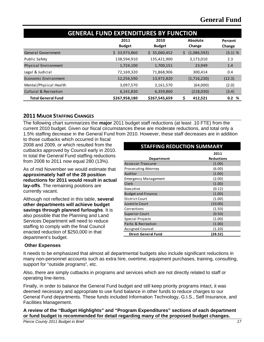| <b>GENERAL FUND EXPENDITURES BY FUNCTION</b> |                       |                       |                    |                   |  |  |  |
|----------------------------------------------|-----------------------|-----------------------|--------------------|-------------------|--|--|--|
|                                              | 2011<br><b>Budget</b> | 2010<br><b>Budget</b> | Absolute<br>Change | Percent<br>Change |  |  |  |
| General Government                           | 33,973,860<br>S.      | 35,060,452<br>S.      | (1,086,592)<br>\$  | $(3.1)$ %         |  |  |  |
| <b>Public Safety</b>                         | 138,594,910           | 135,421,900           | 3,173,010          | 2.3               |  |  |  |
| Physical Environment                         | 1,724,100             | 1,700,151             | 23,949             | 1.4               |  |  |  |
| Legal & Judicial                             | 72,169,320            | 71,868,906            | 300,414            | 0.4               |  |  |  |
| Economic Environment                         | 12,256,590            | 13,972,820            | (1,716,230)        | (12.3)            |  |  |  |
| Mental/Physical Health                       | 3,097,570             | 3,161,570             | (64,000)           | (2.0)             |  |  |  |
| Cultural & Recreation                        | 6,141,830             | 6,359,860             | (218,030)          | (3.4)             |  |  |  |
| <b>Total General Fund</b>                    | \$267,958,180         | \$267,545,659         | 412,521            | 0.2%              |  |  |  |

#### **2011 MAJOR STAFFING CHANGES**

The following chart summarizes the **major** 2011 budget staff reductions (at least .10 FTE) from the current 2010 budget. Given our fiscal circumstances these are moderate reductions, and total only a 1.5% staffing decrease in the General Fund from 2010. However, these staff decreases are in addition

to those cutbacks which occurred in fiscal 2008 and 2009, or which resulted from the cutbacks approved by Council early in 2010. In total the General Fund staffing reductions from 2008 to 2011 now equal 280 (13%).

As of mid November we would estimate that **approximately half of the 28 position reductions for 2011 would result in actual lay-offs**. The remaining positions are currently vacant.

Although not reflected in this table, **several other departments will achieve budget savings through planned furloughs**. It is also possible that the Planning and Land Services Department will need to reduce staffing to comply with the final Council enacted reduction of \$250,000 in that department's budget.

#### **Department 2011 Reductions** Assessor-Treasurer (1.00) Prosecuting Attorney (6.00) Auditor (1.00) Emergency Management (2.00) Clerk (1.00) Executive (0.12) Budget and Finance (1.00) District Court (1.00) Juvenile Court (10.00) Corrections (1.50)<br>Superior Court (0.50) Superior Court Special Projects (1.00) Parks & Recreation (1.00) Assigned Counsel (1.20)  **Direct General Fund (28.32) STAFFING REDUCTION SUMMARY**

#### **Other Expenses**

It needs to be emphasized that almost all departmental budgets also include significant reductions in many non-personnel accounts such as extra hire, overtime, equipment purchases, training, consulting, support for "outside programs", etc.

Also, there are simply cutbacks in programs and services which are not directly related to staff or operating line-items.

Finally, in order to balance the General Fund budget and still keep priority programs intact, it was deemed necessary and appropriate to use fund balance in other funds to reduce charges to our General Fund departments. These funds included Information Technology, G.I.S., Self Insurance, and Facilities Management.

**A review of the "Budget Highlights" and "Program Expenditures" sections of each department or fund budget is recommended for detail regarding many of the proposed budget changes.**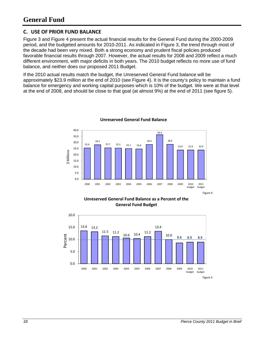#### **C. USE OF PRIOR FUND BALANCE**

Figure 3 and Figure 4 present the actual financial results for the General Fund during the 2000-2009 period, and the budgeted amounts for 2010-2011. As indicated in Figure 3, the trend through most of the decade had been very mixed. Both a strong economy and prudent fiscal policies produced favorable financial results through 2007. However, the actual results for 2008 and 2009 reflect a much different environment, with major deficits in both years. The 2010 budget reflects no more use of fund balance, and neither does our proposed 2011 Budget.

If the 2010 actual results match the budget, the Unreserved General Fund balance will be approximately \$23.9 million at the end of 2010 (see Figure 4). It is the county's policy to maintain a fund balance for emergency and working capital purposes which is 10% of the budget. We were at that level at the end of 2008, and should be close to that goal (at almost 9%) at the end of 2011 (see figure 5).



**Unreserved General Fund Balance**

**Unreserved General Fund Balance as a Percent of the General Fund Budget**

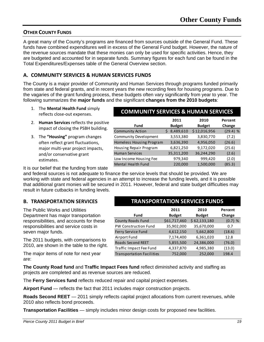#### **OTHER COUNTY FUNDS**

A great many of the County's programs are financed from sources outside of the General Fund. These funds have combined expenditures well in excess of the General Fund budget. However, the nature of the revenue sources mandate that these monies can only be used for specific activities. Hence, they are budgeted and accounted for in separate funds. Summary figures for each fund can be found in the Total Expenditures/Expenses table of the General Overview section.

#### **A. COMMUNITY SERVICES & HUMAN SERVICES FUNDS**

The County is a major provider of Community and Human Services through programs funded primarily from state and federal grants, and in recent years the new recording fees for housing programs. Due to the vagaries of the grant funding process, these budgets often vary significantly from year to year. The following summarizes the **major funds** and the significant **changes from the 2010 budgets**:

- 1. The **Mental Health Fund** simply reflects close‐out expenses.
- 2. **Human Services** reflects the positive impact of closing the PSBH building.
- 3. The **"Housing"** program changes often reflect grant fluctuations, major multi‐year project impacts, and/or conservative grant estimates.

#### **COMMUNITY SERVICES & HUMAN SERVICES**

|                          | 2011          | 2010          | Percent    |
|--------------------------|---------------|---------------|------------|
| <b>Fund</b>              | <b>Budget</b> | <b>Budget</b> | Change     |
| <b>Community Action</b>  | 8,489,610     | \$12,016,956  | $(29.4)$ % |
| Community Development    | 3,553,380     | 3,830,770     | (7.2)      |
| Homeless Housing Program | 3,636,390     | 4,956,050     | (26.6)     |
| Housing Repair Program   | 6,821,250     | 9,172,020     | (25.6)     |
| <b>Human Services</b>    | 35,311,200    | 36,244,290    | (2.6)      |
| Low Income Housing Fee   | 979,340       | 999,420       | (2.0)      |
| Mental Health Fund       | 220,000       | 1,500,000     | (85.3)     |

It is our belief that the funding from state

and federal sources is not adequate to finance the service levels that should be provided. We are working with state and federal agencies in an attempt to increase the funding levels, and it is possible that additional grant monies will be secured in 2011. However, federal and state budget difficulties may result in future cutbacks in funding levels.

#### **B. TRANSPORTATION SERVICES**

The Public Works and Utilities Department has major transportation responsibilities, and accounts for these responsibilities and service costs in seven major funds.

The 2011 budgets, with comparisons to 2010, are shown in the table to the right.

The major items of note for next year are:

## **TRANSPORTATION SERVICES FUNDS**

|                                  | 2011          | 2010          | Percent   |
|----------------------------------|---------------|---------------|-----------|
| <b>Fund</b>                      | <b>Budget</b> | <b>Budget</b> | Change    |
| <b>County Roads Fund</b>         | \$61,717,460  | \$62,133,180  | $(0.7)$ % |
| PW Construction Fund             | 35,902,000    | 35,670,000    | 0.7       |
| Ferry Service Fund               | 4,612,150     | 5,662,800     | (18.6)    |
| Airport Fund                     | 7,174,400     | 6,361,020     | 12.8      |
| Roads Second REET                | 5,855,500     | 24,386,000    | (76.0)    |
| Traffic Impact Fee Fund          | 4,337,870     | 4,985,380     | (13.0)    |
| <b>Transportation Facilities</b> | 752,000       | 252,000       | 198.4     |

**The County Road fund** and **Traffic Impact Fees fund** reflect diminished activity and staffing as projects are completed and as revenue sources are reduced.

The **Ferry Services fund** reflects reduced repair and capital project expenses.

**Airport Fund** — reflects the fact that 2011 includes major construction projects.

**Roads Second REET** — 2011 simply reflects capital project allocations from current revenues, while 2010 also reflects bond proceeds.

**Transportation Facilities** — simply includes minor design costs for proposed new facilities.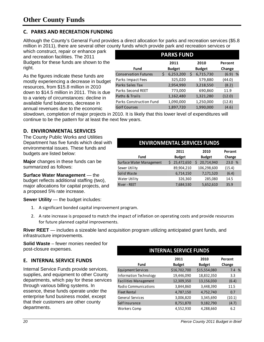#### **C. PARKS AND RECREATION FUNDING**

Although the County's General Fund provides a direct allocation for parks and recreation services (\$5.8 million in 2011), there are several other county funds which provide park and recreation services or

which construct, repair or enhance park and recreation facilities. The 2011 Budgets for these funds are shown to the right.

As the figures indicate these funds are mostly experiencing a decrease in budget resources, from \$15.8 million in 2010 down to \$14.5 million in 2011. This is due to a variety of circumstances: decline in available fund balances, decrease in annual revenues due to the economic

| <b>PARKS FUND</b>           |  |               |   |               |         |   |  |  |
|-----------------------------|--|---------------|---|---------------|---------|---|--|--|
|                             |  | 2011          |   | 2010          | Percent |   |  |  |
| Fund                        |  | <b>Budget</b> |   | <b>Budget</b> | Change  |   |  |  |
| <b>Conservation Futures</b> |  | 6,253,200     | S | 6,715,730     | (6.9)   | % |  |  |
| Parks Impact Fees           |  | 325,020       |   | 579,880       | (44.0)  |   |  |  |
| Parks Sales Tax             |  | 2,954,990     |   | 3,218,550     | (8.2)   |   |  |  |
| Parks Second REET           |  | 773,000       |   | 690,860       | 11.9    |   |  |  |
| Paths & Trails              |  | 1,162,480     |   | 1,321,280     | (12.0)  |   |  |  |
| Parks Construction Fund     |  | 1,090,000     |   | 1,250,000     | (12.8)  |   |  |  |
| <b>Golf Courses</b>         |  | 1,897,720     |   | 1,990,000     | (4.6)   |   |  |  |

slowdown, completion of major projects in 2010. It is likely that this lower level of expenditures will continue to be the pattern for at least the next few years.

#### **D. ENVIRONMENTAL SERVICES**

The County Public Works and Utilities Department has five funds which deal with environmental issues. These funds and budgets are listed below:

**Major** changes in these funds can be summarized as follows:

**Surface Water Management** — the budget reflects additional staffing (two), major allocations for capital projects, and a proposed 5% rate increase.

**Sewer Utility** — the budget includes:

- 1. A significant bonded capital improvement program.
- 2. A rate increase is proposed to match the impact of inflation on operating costs and provide resources for future planned capital improvements.

**River REET** — includes a sizeable land acquisition program utilizing anticipated grant funds, and infrastructure improvements.

**Solid Waste** – fewer monies needed for post-closure expenses.

#### **E. INTERNAL SERVICE FUNDS**

Internal Service Funds provide services, supplies, and equipment to other County departments, which pay for these services through various billing systems. In essence, these funds operate under the enterprise fund business model, except that their customers are other county departments.

# **ENVIRONMENTAL SERVICES FUNDS**

|                          | 2011          | 2010          | Percent |  |
|--------------------------|---------------|---------------|---------|--|
| <b>Fund</b>              | <b>Budget</b> | <b>Budget</b> | Change  |  |
| Surface Water Management | 25,472,650    | 20,714,940    | 23.0 %  |  |
| Sewer Utility            | 89,904,210    | 106,298,600   | (15.4)  |  |
| Solid Waste              | 6,714,150     | 7,171,520     | (6.4)   |  |
| <b>Water Utility</b>     | 326,360       | 285,080       | 14.5    |  |
| River - REET             | 7,684,530     | 5,652,610     | 35.9    |  |

| <b>INTERNAL SERVICE FUNDS</b> |               |               |         |  |  |  |  |
|-------------------------------|---------------|---------------|---------|--|--|--|--|
|                               | 2011          | 2010          | Percent |  |  |  |  |
| Fund                          | <b>Budget</b> | <b>Budget</b> | Change  |  |  |  |  |
| Equipment Services            | \$16,702,700  | \$15,554,080  | 7.4 %   |  |  |  |  |
| Information Technology        | 19,446,090    | 18,832,350    | 3.3     |  |  |  |  |
| <b>Facilities Management</b>  | 12,309,350    | 13,156,030    | (6.4)   |  |  |  |  |
| Radio Communications          | 3,844,860     | 3,448,390     | 11.5    |  |  |  |  |
| <b>Fleet Rental</b>           | 4,787,150     | 4,752,740     | 0.7     |  |  |  |  |
| General Services              | 3,006,820     | 3,345,690     | (10.1)  |  |  |  |  |
| Self Insurance                | 8,751,870     | 9,182,790     | (4.7)   |  |  |  |  |
| Workers Comp                  | 4,552,930     | 4,288,660     | 6.2     |  |  |  |  |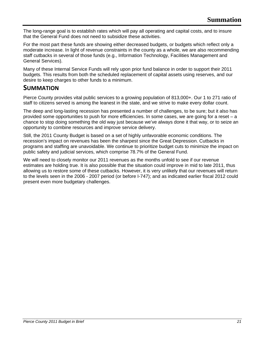The long-range goal is to establish rates which will pay all operating and capital costs, and to insure that the General Fund does not need to subsidize these activities.

For the most part these funds are showing either decreased budgets, or budgets which reflect only a moderate increase. In light of revenue constraints in the county as a whole, we are also recommending staff cutbacks in several of those funds (e.g., Information Technology, Facilities Management and General Services).

Many of these Internal Service Funds will rely upon prior fund balance in order to support their 2011 budgets. This results from both the scheduled replacement of capital assets using reserves, and our desire to keep charges to other funds to a minimum.

## **SUMMATION**

Pierce County provides vital public services to a growing population of 813,000+. Our 1 to 271 ratio of staff to citizens served is among the leanest in the state, and we strive to make every dollar count.

The deep and long-lasting recession has presented a number of challenges, to be sure; but it also has provided some opportunities to push for more efficiencies. In some cases, we are going for a reset – a chance to stop doing something the old way just because we've always done it that way, or to seize an opportunity to combine resources and improve service delivery.

Still, the 2011 County Budget is based on a set of highly unfavorable economic conditions. The recession's impact on revenues has been the sharpest since the Great Depression. Cutbacks in programs and staffing are unavoidable. We continue to prioritize budget cuts to minimize the impact on public safety and judicial services, which comprise 78.7% of the General Fund.

We will need to closely monitor our 2011 revenues as the months unfold to see if our revenue estimates are holding true. It is also possible that the situation could improve in mid to late 2011, thus allowing us to restore some of these cutbacks. However, it is very unlikely that our revenues will return to the levels seen in the 2006 - 2007 period (or before I-747); and as indicated earlier fiscal 2012 could present even more budgetary challenges.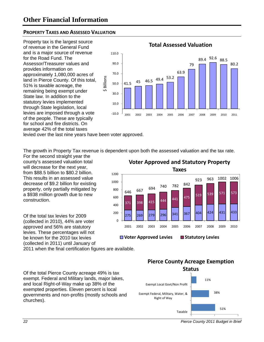#### **PROPERTY TAXES AND ASSESSED VALUATION**

Property tax is the largest source of revenue in the General Fund and is a major source of revenue for the Road Fund. The Assessor/Treasurer values and provides information on approximately 1,080,000 acres of land in Pierce County. Of this total, 51% is taxable acreage, the remaining being exempt under State law. In addition to the statutory levies implemented through State legislation, local levies are imposed through a vote of the people. These are typically for school and fire districts. On average 42% of the total taxes



#### **Total Assessed Valuation**

levied over the last nine years have been voter approved.

The growth in Property Tax revenue is dependent upon both the assessed valuation and the tax rate.

For the second straight year the county's assessed valuation total will decrease for the next year, from \$88.5 billion to \$80.2 billion. This results in an assessed value decrease of \$9.2 billion for existing property, only partially mitigated by a \$938 million growth due to new construction.

Of the total tax levies for 2009 (collected in 2010), 44% are voter approved and 56% are statutory levies. These percentages will not be known for the 2010 tax levies (collected in 2011) until January of

2011 when the final certification figures are available.

Of the total Pierce County acreage 49% is tax exempt. Federal and Military lands, major lakes, and local Right-of-Way make up 38% of the exempted properties. Eleven percent is local governments and non-profits (mostly schools and churches).

275 269 279 296 341 367 404 424 431 433 371 398 415 444 441 475 519 <sup>646</sup> <sup>539</sup> <sup>571</sup> <sup>573</sup> <sup>667</sup> <sup>694</sup> <sup>740</sup> <sup>782</sup> <sup>842</sup> 923 963 1002 1006  $\overline{0}$ 200 400 600 800 1000 1200 2001 2002 2003 2004 2005 2006 2007 2008 2009 2010 **Taxes**

**Voter Approved and Statutory Property**

**Voter Approved Levies Statutory Levies** 



*22 Pierce County 2011 Budget in Brief*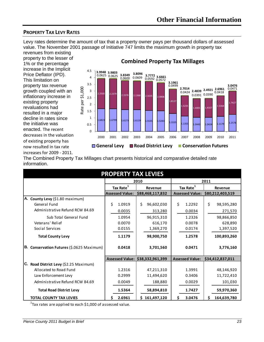#### **PROPERTY TAX LEVY RATES**

Levy rates determine the amount of tax that a property owner pays per thousand dollars of assessed value. The November 2001 passage of Initiative 747 limits the maximum growth in property tax revenues from existing

property to the lesser of 1% or the percentage increase in the Implicit Price Deflator (IPD). This limitation on property tax revenue growth coupled with an inflationary increase in existing property revaluations had resulted in a major decline in rates since the initiative was enacted. The recent decreases in the valuation of existing property has now resulted in tax rate increases for 2009 ‐ 2011.



#### **Combined Property Tax Millages**

The Combined Property Tax Millages chart presents historical and comparative detailed rate information.

| <b>PROPERTY TAX LEVIES</b>                |                        |                                  |                        |                                  |  |  |  |  |  |
|-------------------------------------------|------------------------|----------------------------------|------------------------|----------------------------------|--|--|--|--|--|
|                                           |                        | 2010                             |                        | 2011                             |  |  |  |  |  |
|                                           | Tax Rate <sup>1</sup>  | Revenue                          | Tax Rate <sup>1</sup>  | Revenue                          |  |  |  |  |  |
|                                           | <b>Assessed Value:</b> | \$88,468,117,832                 |                        | Assessed Value: \$80,212,403,519 |  |  |  |  |  |
| A. County Levy (\$1.80 maximum)           |                        |                                  |                        |                                  |  |  |  |  |  |
| General Fund                              | \$<br>1.0919           | \$<br>96,602,030                 | \$<br>1.2292           | \$<br>98,595,280                 |  |  |  |  |  |
| Administrative Refund RCW 84.69           | 0.0035                 | 313,280                          | 0.0034                 | 271,570                          |  |  |  |  |  |
| Sub Total General Fund                    | 1.0954                 | 96,915,310                       | 1.2326                 | 98,866,850                       |  |  |  |  |  |
| Veterans' Relief                          | 0.0070                 | 616,170                          | 0.0078                 | 628,890                          |  |  |  |  |  |
| Social Services                           | 0.0155                 | 1,369,270                        | 0.0174                 | 1,397,520                        |  |  |  |  |  |
| <b>Total County Levy</b>                  | 1.1179                 | 98,900,750                       | 1.2578                 | 100,893,260                      |  |  |  |  |  |
| B. Conservation Futures (\$.0625 Maximum) | 0.0418                 | 3,701,560                        | 0.0471                 | 3,776,160                        |  |  |  |  |  |
|                                           |                        | Assessed Value: \$38,332,961,399 | <b>Assessed Value:</b> | \$34,412,837,011                 |  |  |  |  |  |
| C. Road District Levy (\$2.25 Maximum)    |                        |                                  |                        |                                  |  |  |  |  |  |
| Allocated to Road Fund                    | 1.2316                 | 47,211,310                       | 1.3991                 | 48,146,920                       |  |  |  |  |  |
| Law Enforcement Levy                      | 0.2999                 | 11,494,620                       | 0.3406                 | 11,722,410                       |  |  |  |  |  |
| Administrative Refund RCW 84.69           | 0.0049                 | 188,880                          | 0.0029                 | 101,030                          |  |  |  |  |  |
| <b>Total Road District Levy</b>           | 1.5364                 | 58,894,810                       | 1.7427                 | 59,970,360                       |  |  |  |  |  |
| <b>TOTAL COUNTY TAX LEVIES</b>            | 2.6961<br>Ś            | \$161,497,120                    | 3.0476<br>s            | 164,639,780                      |  |  |  |  |  |

 $^{1}$ Tax rates are applied to each \$1,000 of assessed value.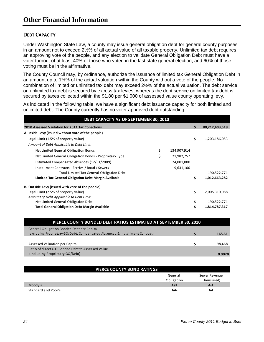#### **DEBT CAPACITY**

Under Washington State Law, a county may issue general obligation debt for general county purposes in an amount not to exceed 2½% of all actual value of all taxable property. Unlimited tax debt requires an approving vote of the people, and any election to validate General Obligation Debt must have a voter turnout of at least 40% of those who voted in the last state general election, and 60% of those voting must be in the affirmative.

The County Council may, by ordinance, authorize the issuance of limited tax General Obligation Debt in an amount up to 1½% of the actual valuation within the County without a vote of the people. No combination of limited or unlimited tax debt may exceed 2½% of the actual valuation. The debt service on unlimited tax debt is secured by excess tax levies, whereas the debt service on limited tax debt is secured by taxes collected within the \$1.80 per \$1,000 of assessed value county operating levy.

As indicated in the following table, we have a significant debt issuance capacity for both limited and unlimited debt. The County currently has no voter approved debt outstanding.

| DEBT CAPACITY AS OF SEPTEMBER 30, 2010                  |    |             |    |                |  |  |  |  |  |
|---------------------------------------------------------|----|-------------|----|----------------|--|--|--|--|--|
| 2010 Assessed Vaulation for 2011 Tax Collections        |    |             | Ś. | 80,212,403,519 |  |  |  |  |  |
| A. Inside Levy (issued without vote of the people)      |    |             |    |                |  |  |  |  |  |
| Legal Limit (1.5% of property value)                    |    |             | \$ | 1,203,186,053  |  |  |  |  |  |
| Amount of Debt Applicable to Debt Limit:                |    |             |    |                |  |  |  |  |  |
| Net Limited General Obligation Bonds                    | \$ | 134,907,914 |    |                |  |  |  |  |  |
| Net Limited General Obligation Bonds - Proprietary Type | \$ | 21,982,757  |    |                |  |  |  |  |  |
| Estimated Compensated Absences (12/31/2009)             |    | 24,001,000  |    |                |  |  |  |  |  |
| Installment Contracts - Ferries / Road / Sewers         |    | 9,631,100   |    |                |  |  |  |  |  |
| Total Limited Tax General Obligation Debt               |    |             |    | 190,522,771    |  |  |  |  |  |
| Limited Tax General Obligation Debt Margin Available    |    |             | \$ | 1,012,663,282  |  |  |  |  |  |
| B. Outside Levy (issued with vote of the people)        |    |             |    |                |  |  |  |  |  |
| Legal Limit (2.5% of property value)                    |    |             | \$ | 2,005,310,088  |  |  |  |  |  |
| Amount of Debt Applicable to Debt Limit:                |    |             |    |                |  |  |  |  |  |
| Net Limited General Obligation Debt                     |    |             |    | 190,522,771    |  |  |  |  |  |
| <b>Total General Obligation Debt Margin Available</b>   |    |             | Ś  | 1,814,787,317  |  |  |  |  |  |

| PIERCE COUNTY BONDED DEBT RATIOS ESTIMATED AT SEPTEMBER 30, 2010              |        |
|-------------------------------------------------------------------------------|--------|
| General Obligation Bonded Debt per Capita                                     |        |
| (excluding Proprietary GO/Debt, Compensated Absences, & Installment Contract) | 165.61 |
|                                                                               |        |
| Assessed Valuation per Capita                                                 | 98,468 |
| Ratio of direct G O Bonded Debt to Assessed Value                             |        |
| (including Proprietary GO/Debt)                                               | 0.0020 |
|                                                                               |        |

| PIERCE COUNTY BOND RATINGS |                 |               |
|----------------------------|-----------------|---------------|
|                            | General         | Sewer Revenue |
|                            | Obligation      | (Uninsured)   |
| Moody's                    | Aa <sub>2</sub> | $A-1$         |
| Standard and Poor's        | AA-             | AA            |

ı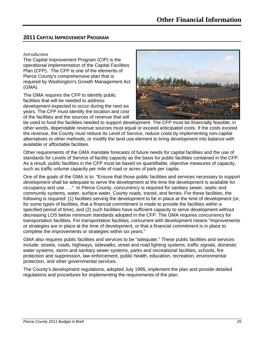#### **2011 CAPITAL IMPROVEMENT PROGRAM**

#### *Introduction*

The Capital Improvement Program (CIP) is the operational implementation of the Capital Facilities Plan (CFP). The CFP is one of the elements of Pierce County's comprehensive plan that is required by Washington's Growth Management Act (GMA).

The GMA requires the CFP to identify public facilities that will be needed to address development expected to occur during the next six years. The CFP must identify the location and cost of the facilities and the sources of revenue that will



be used to fund the facilities needed to support development. The CFP must be financially feasible; in other words, dependable revenue sources must equal or exceed anticipated costs. If the costs exceed the revenue, the County must reduce its Level of Service, reduce costs by implementing non-capital alternatives or other methods, or modify the land use element to bring development into balance with available or affordable facilities.

Other requirements of the GMA mandate forecasts of future needs for capital facilities and the use of standards for Levels of Service of facility capacity as the basis for public facilities contained in the CFP. As a result, public facilities in the CFP must be based on quantifiable, objective measures of capacity, such as traffic volume capacity per mile of road or acres of park per capita.

One of the goals of the GMA is to: "Ensure that those public facilities and services necessary to support development shall be adequate to serve the development at the time the development is available for occupancy and use . . ." In Pierce County, concurrency is required for sanitary sewer, septic and community systems, water, surface water, County roads, transit, and ferries. For these facilities, the following is required: (1) facilities serving the development to be in place at the time of development (or, for some types of facilities, that a financial commitment is made to provide the facilities within a specified period of time), and (2) such facilities have sufficient capacity to serve development without decreasing LOS below minimum standards adopted in the CFP. The GMA requires concurrency for transportation facilities. For transportation facilities, concurrent with development means "improvements or strategies are in place at the time of development, or that a financial commitment is in place to complete the improvements or strategies within six years."

GMA also requires public facilities and services to be "adequate." These public facilities and services include: streets, roads, highways, sidewalks, street and road lighting systems, traffic signals, domestic water systems, storm and sanitary sewer systems, parks and recreational facilities, schools, fire protection and suppression, law enforcement, public health, education, recreation, environmental protection, and other governmental services.

The County's development regulations, adopted July 1995, implement the plan and provide detailed regulations and procedures for implementing the requirements of the plan.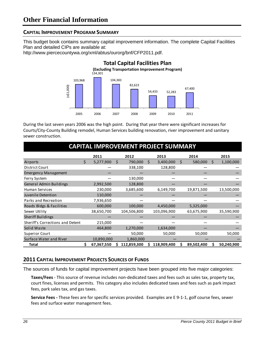#### **CAPITAL IMPROVEMENT PROGRAM SUMMARY**

This budget book contains summary capital improvement information. The complete Capital Facilities Plan and detailed CIPs are available at:

http://www.piercecountywa.org/xml/abtus/ourorg/bnf/CFP2011.pdf.



During the last seven years 2006 was the high point. During that year there were significant increases for Courts/City‐County Building remodel, Human Services building renovation, river improvement and sanitary sewer construction.

## **CAPITAL IMPROVEMENT PROJECT SUMMARY**

|                                  | 2011            |    | 2012        |   | 2013        |    | 2014       |   | 2015       |
|----------------------------------|-----------------|----|-------------|---|-------------|----|------------|---|------------|
| Airports                         | \$<br>5,277,900 | Ś. | 790,000     | S | 3,400,000   | Ŝ. | 580,000    | S | 1,100,000  |
| District Court                   |                 |    | 338,100     |   | 128,800     |    |            |   |            |
| <b>Emergency Management</b>      |                 |    |             |   |             |    |            |   |            |
| Ferry System                     |                 |    | 130,000     |   |             |    |            |   |            |
| General Admin Buildings          | 2,992,500       |    | 128,800     |   |             |    |            |   |            |
| Human Services                   | 230,000         |    | 3,685,600   |   | 6,149,700   |    | 19,871,500 |   | 13,500,000 |
| Juvenile Detention               | 110,000         |    |             |   |             |    |            |   |            |
| Parks and Recreation             | 7,936,650       |    |             |   |             |    |            |   |            |
| Roads Bldgs & Facilities         | 600,000         |    | 100,000     |   | 4,450,000   |    | 5,325,000  |   |            |
| Sewer Utility                    | 38,650,700      |    | 104,506,800 |   | 103,096,900 |    | 63,675,900 |   | 35,590,900 |
| Sheriff Buildings                |                 |    |             |   |             |    |            |   |            |
| Sheriff's Corrections and Detent | 215,000         |    |             |   |             |    |            |   |            |
| Solid Waste                      | 464,800         |    | 1,270,000   |   | 1,634,000   |    |            |   |            |
| <b>Superior Court</b>            |                 |    | 50,000      |   | 50,000      |    | 50,000     |   | 50,000     |
| Surface Water and River          | 10,890,000      |    | 1,860,000   |   |             |    |            |   |            |
| Total                            | 67,367,550      |    | 112,859,300 |   | 118,909,400 | s  | 89,502,400 | S | 50,240,900 |

#### **2011 CAPITAL IMPROVEMENT PROJECTS SOURCES OF FUNDS**

The sources of funds for capital improvement projects have been grouped into five major categories:

**Taxes/Fees** ‐ This source of revenue includes non‐dedicated taxes and fees such as sales tax, property tax, court fines, licenses and permits. This category also includes dedicated taxes and fees such as park impact fees, park sales tax, and gas taxes.

**Service Fees ‐** These fees are for specific services provided. Examples are E 9‐1‐1, golf course fees, sewer fees and surface water management fees.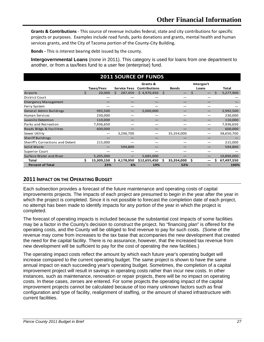**Grants & Contributions** ‐ This source of revenue includes federal, state and city contributions for specific projects or purposes. Examples include road funds, parks donations and grants, mental health and human services grants, and the City of Tacoma portion of the County‐City Building.

**Bonds ‐** This is interest bearing debt issued by the county.

**Intergovernmental Loans** (none in 2011). This category is used for loans from one department to another, or from a tax/fees fund to a user fee (enterprise) fund.

| <b>2011 SOURCE OF FUNDS</b>      |                  |                         |                      |                  |            |                  |  |  |  |  |
|----------------------------------|------------------|-------------------------|----------------------|------------------|------------|------------------|--|--|--|--|
|                                  |                  |                         | Grants &             |                  | Intergov't |                  |  |  |  |  |
|                                  | Taxes/Fees       | <b>Service Fees</b>     | <b>Contributions</b> | <b>Bonds</b>     | Loans      | Total            |  |  |  |  |
| Airports                         | Ś<br>20,000      | 287,450<br>$\mathsf{S}$ | \$4,970,450          | Ŝ.               | Ś          | Ś.<br>5,277,900  |  |  |  |  |
| <b>District Court</b>            |                  |                         |                      |                  |            |                  |  |  |  |  |
| <b>Emergency Management</b>      |                  |                         |                      |                  |            |                  |  |  |  |  |
| Ferry System                     |                  |                         |                      |                  |            |                  |  |  |  |  |
| General Admin Buildings          | 992,500          |                         | 2,000,000            |                  |            | 2,992,500        |  |  |  |  |
| <b>Human Services</b>            | 230,000          |                         |                      |                  |            | 230,000          |  |  |  |  |
| Juvenile Detention               | 110,000          |                         |                      |                  |            | 110,000          |  |  |  |  |
| Parks and Recreation             | 7,936,650        |                         |                      |                  |            | 7,936,650        |  |  |  |  |
| Roads Bldgs & Facilities         | 600,000          |                         |                      |                  |            | 600,000          |  |  |  |  |
| Sewer Utility                    |                  | 3,296,700               |                      | 35,354,000       |            | 38,650,700       |  |  |  |  |
| <b>Sheriff Buildings</b>         |                  |                         |                      |                  |            |                  |  |  |  |  |
| Sheriff's Corrections and Detent | 215,000          |                         |                      |                  |            | 215,000          |  |  |  |  |
| Solid Waste                      |                  | 594,800                 |                      |                  |            | 594,800          |  |  |  |  |
| <b>Superior Court</b>            |                  |                         |                      |                  |            |                  |  |  |  |  |
| Surface Water and River          | 5,205,000        |                         | 5,685,000            |                  |            | 10,890,000       |  |  |  |  |
| <b>Total</b>                     | Ś.<br>15,309,150 | \$4,178,950             | \$12,655,450         | 35,354,000<br>Ś. | Ŝ.         | ς.<br>67,497,550 |  |  |  |  |
| <b>Percent of Total</b>          | 23%              | 6%                      | 19%                  | 52%              |            | 100%             |  |  |  |  |

#### **2011 IMPACT ON THE OPERATING BUDGET**

Each subsection provides a forecast of the future maintenance and operating costs of capital improvements projects. The impacts of each project are presumed to begin in the year after the year in which the project is completed. Since it is not possible to forecast the completion date of each project, no attempt has been made to identify impacts for any portion of the year in which the project is completed.

The forecast of operating impacts is included because the substantial cost impacts of some facilities may be a factor in the County's decision to construct the project. No "financing plan" is offered for the operating costs, and the County will be obliged to find revenue to pay for such costs. (Some of the revenue may come from increases to the tax base that accompanies the new development that created the need for the capital facility. There is no assurance, however, that the increased tax revenue from new development will be sufficient to pay for the cost of operating the new facilities.)

The operating impact costs reflect the amount by which each future year's operating budget will increase compared to the current operating budget. The same project is shown to have the same annual impact on each succeeding year's operating budget. Sometimes, the completion of a capital improvement project will result in savings in operating costs rather than incur new costs. In other instances, such as maintenance, renovation or repair projects, there will be no impact on operating costs. In these cases, zeroes are entered. For some projects the operating impact of the capital improvement projects cannot be calculated because of too many unknown factors such as final configuration and type of facility, realignment of staffing, or the amount of shared infrastructure with current facilities.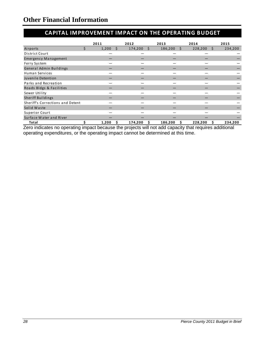## **CAPITAL IMPROVEMENT IMPACT ON THE OPERATING BUDGET**

|                                  |   | 2011  |      | 2012    |    | 2013    |    | 2014    |    | 2015    |
|----------------------------------|---|-------|------|---------|----|---------|----|---------|----|---------|
| Airports                         | Ś | 1,200 | - \$ | 174,200 | S. | 186,200 | S. | 228,200 | S. | 234,200 |
| District Court                   |   |       |      |         |    |         |    |         |    |         |
| <b>Emergency Management</b>      |   |       |      |         |    |         |    |         |    |         |
| Ferry System                     |   |       |      |         |    |         |    |         |    |         |
| General Admin Buildings          |   |       |      |         |    |         |    |         |    |         |
| <b>Human Services</b>            |   |       |      |         |    |         |    |         |    |         |
| Juvenile Detention               |   |       |      |         |    |         |    |         |    |         |
| Parks and Recreation             |   |       |      |         |    |         |    |         |    |         |
| Roads Bldgs & Facilities         |   |       |      |         |    |         |    |         |    |         |
| Sewer Utility                    |   |       |      |         |    |         |    |         |    |         |
| Sheriff Buildings                |   |       |      |         |    |         |    |         |    |         |
| Sheriff's Corrections and Detent |   |       |      |         |    |         |    |         |    |         |
| Solid Waste                      |   |       |      |         |    |         |    |         |    |         |
| Superior Court                   |   |       |      |         |    |         |    |         |    |         |
| Surface Water and River          |   |       |      |         |    |         |    |         |    |         |
| Total                            |   | 1,200 |      | 174,200 |    | 186,200 |    | 228,200 |    | 234,200 |

Zero indicates no operating impact because the projects will not add capacity that requires additional operating expenditures, or the operating impact cannot be determined at this time.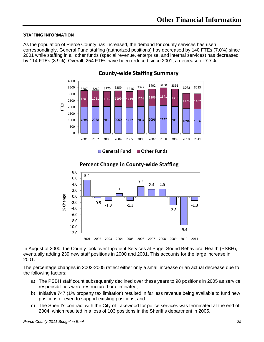#### **STAFFING INFORMATION**

As the population of Pierce County has increased, the demand for county services has risen correspondingly. General Fund staffing (authorized positions) has decreased by 140 FTEs (7.0%) since 2001 while staffing in all other funds (special revenue, enterprise, and internal services) has decreased by 114 FTEs (8.9%). Overall, 254 FTEs have been reduced since 2001, a decrease of 7.7%.



**County‐wide Staffing Summary**

**General Fund Other Funds**



**Percent Change in County‐wide Staffing**

In August of 2000, the County took over Inpatient Services at Puget Sound Behavioral Health (PSBH), eventually adding 239 new staff positions in 2000 and 2001. This accounts for the large increase in 2001.

The percentage changes in 2002-2005 reflect either only a small increase or an actual decrease due to the following factors:

- a) The PSBH staff count subsequently declined over these years to 98 positions in 2005 as service responsibilities were restructured or eliminated;
- b) Initiative 747 (1% property tax limitation) resulted in far less revenue being available to fund new positions or even to support existing positions; and
- c) The Sheriff's contract with the City of Lakewood for police services was terminated at the end of 2004, which resulted in a loss of 103 positions in the Sheriff's department in 2005.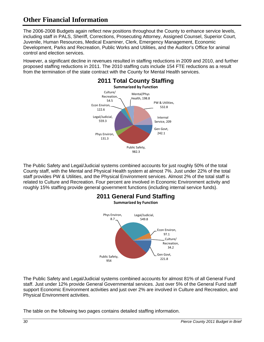The 2006-2008 Budgets again reflect new positions throughout the County to enhance service levels, including staff in PALS, Sheriff, Corrections, Prosecuting Attorney, Assigned Counsel, Superior Court, Juvenile, Human Resources, Medical Examiner, Clerk, Emergency Management, Economic Development, Parks and Recreation, Public Works and Utilities, and the Auditor's Office for animal control and election services.

However, a significant decline in revenues resulted in staffing reductions in 2009 and 2010, and further proposed staffing reductions in 2011. The 2010 staffing cuts include 154 FTE reductions as a result from the termination of the state contract with the County for Mental Health services.



The Public Safety and Legal/Judicial systems combined accounts for just roughly 50% of the total County staff, with the Mental and Physical Health system at almost 7%. Just under 22% of the total staff provides PW & Utilities, and the Physical Environment services. Almost 2% of the total staff is related to Culture and Recreation. Four percent are involved in Economic Environment activity and roughly 15% staffing provide general government functions (including internal service funds).



The Public Safety and Legal/Judicial systems combined accounts for almost 81% of all General Fund staff. Just under 12% provide General Governmental services. Just over 5% of the General Fund staff support Economic Environment activities and just over 2% are involved in Culture and Recreation, and Physical Environment activities.

The table on the following two pages contains detailed staffing information.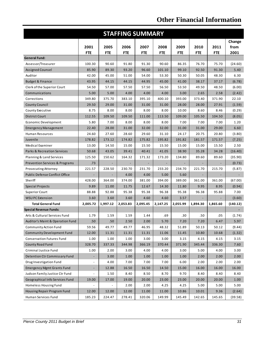| <b>STAFFING SUMMARY</b>                   |                          |            |            |            |            |            |            |            |          |
|-------------------------------------------|--------------------------|------------|------------|------------|------------|------------|------------|------------|----------|
|                                           |                          |            |            |            |            |            |            |            | Change   |
|                                           | 2001                     | 2005       | 2006       | 2007       | 2008       | 2009       | 2010       | 2011       | from     |
|                                           | <b>FTE</b>               | <b>FTE</b> | <b>FTE</b> | <b>FTE</b> | <b>FTE</b> | <b>FTE</b> | <b>FTE</b> | <b>FTE</b> | 2001     |
| <b>General Fund:</b>                      |                          |            |            |            |            |            |            |            |          |
| Assessor/Treasurer                        | 100.30                   | 90.60      | 91.80      | 91.30      | 90.60      | 86.35      | 76.70      | 75.70      | (24.60)  |
| Assigned Counsel                          | 85.90                    | 89.30      | 93.20      | 96.60      | 101.10     | 99.10      | 92.50      | 91.30      | 5.40     |
| Auditor                                   | 42.00                    | 45.00      | 51.00      | 54.00      | 53.30      | 50.30      | 50.05      | 48.30      | 6.30     |
| <b>Budget &amp; Finance</b>               | 43.95                    | 44.15      | 44.15      | 44.95      | 45.00      | 41.00      | 38.17      | 37.17      | (6.78)   |
| Clerk of the Superior Court               | 54.50                    | 57.00      | 57.50      | 57.50      | 56.50      | 53.50      | 49.50      | 48.50      | (6.00)   |
| Communications                            | 5.00                     | 5.00       | 4.00       | 4.00       | 4.00       | 3.00       | 2.65       | 2.58       | (2.42)   |
| Corrections                               | 349.80                   | 375.70     | 383.10     | 395.10     | 400.10     | 393.00     | 373.40     | 371.90     | 22.10    |
| <b>County Council</b>                     | 29.50                    | 29.00      | 31.00      | 31.00      | 31.00      | 28.00      | 28.00      | 27.91      | (1.59)   |
| County Executive                          | 8.75                     | 8.00       | 8.00       | 8.00       | 8.00       | 10.00      | 8.60       | 8.46       | (0.29)   |
| <b>District Court</b>                     | 112.55                   | 109.50     | 109.50     | 111.00     | 113.50     | 109.00     | 105.50     | 104.50     | (8.05)   |
| Economic Development                      | 5.80                     | 7.00       | 8.00       | 8.00       | 8.00       | 7.00       | 7.00       | 7.00       | 1.20     |
| <b>Emergency Management</b>               | 22.40                    | 28.00      | 31.00      | 32.00      | 32.00      | 31.00      | 31.00      | 29.00      | 6.60     |
| <b>Human Resources</b>                    | 24.60                    | 27.60      | 28.60      | 29.60      | 31.10      | 24.17      | 20.75      | 20.80      | (3.80)   |
| Juvenile                                  | 178.82                   | 173.12     | 174.82     | 175.82     | 195.82     | 191.82     | 181.57     | 171.57     | (7.25)   |
| Medical Examiner                          | 13.00                    | 14.50      | 15.00      | 15.50      | 15.50      | 15.00      | 15.00      | 15.50      | 2.50     |
| <b>Parks &amp; Recreation Services</b>    | 50.68                    | 43.05      | 39.41      | 40.41      | 41.05      | 38.90      | 35.28      | 34.28      | (16.40)  |
| Planning & Land Services                  | 125.50                   | 150.62     | 164.32     | 171.32     | 173.20     | 134.80     | 89.60      | 89.60      | (35.90)  |
| <b>Prevention Services &amp; Programs</b> | .73                      |            |            |            |            |            |            |            | (0.73)   |
| <b>Prosecuting Attorney</b>               | 221.57                   | 228.50     | 230.70     | 231.70     | 233.20     | 234.70     | 221.70     | 215.70     | (5.87)   |
| Public Defense Conflict Office            |                          |            | 4.00       | 4.00       | 5.00       | 5.60       |            |            |          |
| Sheriff                                   | 428.00                   | 364.00     | 374.00     | 381.00     | 394.00     | 389.00     | 361.00     | 361.00     | (67.00)  |
| <b>Special Projects</b>                   | 9.89                     | 11.00      | 11.75      | 12.67      | 14.30      | 11.80      | 9.95       | 8.95       | (0.94)   |
| <b>Superior Court</b>                     | 88.88                    | 92.88      | 95.38      | 95.38      | 96.38      | 95.38      | 96.38      | 95.88      | 7.00     |
| <b>WSU PC Extension</b>                   | 3.60                     | 3.60       | 3.60       | 4.60       | 4.60       | 3.57       |            |            | (3.60)   |
| <b>Total General Fund</b>                 | 2,005.72                 | 1,997.12   | 2,053.83   | 2,095.45   | 2,147.25   | 2,055.99   | 1,894.30   | 1,865.60   | (140.12) |
| <b>Special Revenue Funds:</b>             |                          |            |            |            |            |            |            |            |          |
| Arts & Cultural Services Fund             | 1.79                     | 1.59       | 1.59       | 1.44       | .69        | .30        | .50        | .05        | (1.74)   |
| Auditor's Maint & Operation Fund          | .50                      | .50        | 2.50       | 2.00       | 5.70       | 7.20       | 7.20       | 6.47       | 5.97     |
| <b>Community Action Fund</b>              | 59.56                    | 49.77      | 49.77      | 46.95      | 48.32      | 51.89      | 50.13      | 50.12      | (9.44)   |
| <b>Community Development Fund</b>         | 12.00                    | 11.31      | 11.31      | 11.31      | 11.06      | 11.45      | 10.80      | 10.68      | (1.32)   |
| <b>Conservation Futures Fund</b>          | 1.00                     | 1.00       | 1.00       | 3.00       | 3.00       | 3.15       | 4.15       | 4.15       | 3.15     |
| County Road Fund                          | 328.70                   | 337.33     | 344.98     | 366.19     | 370.44     | 371.90     | 345.44     | 336.30     | 7.60     |
| Criminal Justice Fund                     | 1.00                     | 2.00       | 3.00       | 4.00       | 4.00       | 3.00       | 5.00       | 4.00       | 3.00     |
| <b>Detention Ctr Commissary Fund</b>      | ۳.                       | 3.00       | 1.00       | 1.00       | 1.00       | 1.00       | 2.00       | 2.00       | 2.00     |
| Drug Investigation Fund                   | $\frac{1}{2}$            | 4.00       | 7.00       | 7.00       | 7.00       | 6.00       | 2.00       | 2.00       | 2.00     |
| <b>Emergency Mgmt Grants Fund</b>         | $\blacksquare$           | 12.88      | 16.50      | 16.50      | 14.50      | 15.00      | 16.00      | 16.00      | 16.00    |
| Judson Family Justice Ctr Fund            | $\overline{\phantom{0}}$ | 1.50       | 8.40       | 8.50       | 8.70       | 9.70       | 8.40       | 8.40       | 8.40     |
| Geographical Info Services Fund           | 19.00                    | 17.00      | 19.00      | 20.00      | 23.00      | 23.00      | 20.00      | 20.00      | 1.00     |
| Homeless Housing Fund                     |                          |            | 2.00       | 2.00       | 4.25       | 4.25       | 5.00       | 5.00       | 5.00     |
| Housing Repair Program Fund               | 12.00                    | 12.00      | 12.00      | 11.00      | 11.00      | 10.86      | 10.01      | 9.36       | (2.64)   |
| Human Services Fund                       | 185.23                   | 224.47     | 278.41     | 320.06     | 149.99     | 145.49     | 142.65     | 145.65     | (39.58)  |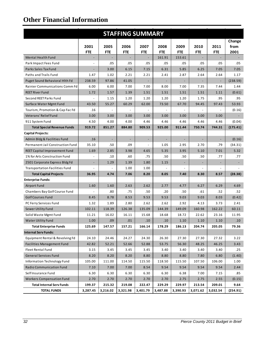| <b>STAFFING SUMMARY</b>               |                          |                          |                          |                          |            |                          |                          |                          |          |
|---------------------------------------|--------------------------|--------------------------|--------------------------|--------------------------|------------|--------------------------|--------------------------|--------------------------|----------|
|                                       |                          |                          |                          |                          |            |                          |                          |                          | Change   |
|                                       | 2001                     | 2005                     | 2006                     | 2007                     | 2008       | 2009                     | 2010                     | 2011                     | from     |
|                                       | <b>FTE</b>               | <b>FTE</b>               | <b>FTE</b>               | <b>FTE</b>               | <b>FTE</b> | <b>FTE</b>               | <b>FTE</b>               | <b>FTE</b>               | 2001     |
| <b>Mental Health Fund</b>             |                          |                          |                          |                          | 161.91     | 153.61                   |                          |                          |          |
| Park Impact Fees Fund                 |                          | .05                      | .05                      | .05                      | .05        | .05                      | .05                      | .05                      | .05      |
| Parks Sales Tax Fund                  |                          | 3.00                     | 6.15                     | 7.15                     | 6.31       | 5.85                     | 6.25                     | 7.05                     | 7.05     |
| Paths and Trails Fund                 | 1.47                     | 1.02                     | 2.21                     | 2.21                     | 2.41       | 2.87                     | 2.64                     | 2.64                     | 1.17     |
| Puget Sound Behavioral Hith Fd        | 238.59                   | 97.86                    | 41.05                    |                          |            |                          |                          | $\overline{\phantom{a}}$ | (238.59) |
| Rainier Communications Comm Fd        | 6.00                     | 6.00                     | 7.00                     | 7.00                     | 8.00       | 7.00                     | 7.35                     | 7.44                     | 1.44     |
| <b>REET River Fund</b>                | 1.72                     | 1.57                     | 1.39                     | 1.51                     | 1.51       | 1.51                     | 1.51                     | 1.11                     | (0.61)   |
| Second REET Parks Fund                |                          | 1.15                     | 1.20                     | 1.20                     | 1.20       | 1.20                     | 1.75                     | .95                      | .95      |
| Surface Water Mgmt Fund               | 43.50                    | 55.27                    | 60.29                    | 62.00                    | 73.50      | 67.70                    | 94.45                    | 97.43                    | 53.93    |
| Tourism, Promotion & Cap Fac Fd       | .16                      |                          |                          |                          |            |                          |                          |                          | (0.16)   |
| Veterans' Relief Fund                 | 3.00                     | 3.00                     | 3.00                     | 3.00                     | 3.00       | 3.00                     | 3.00                     | 3.00                     |          |
| 911 System Fund                       | 4.50                     | 4.00                     | 4.00                     | 4.46                     | 4.46       | 4.46                     | 4.46                     | 4.46                     | (0.04)   |
| <b>Total Special Revenue Funds</b>    | 919.72                   | 851.27                   | 884.80                   | 909.53                   | 925.00     | 911.44                   | 750.74                   | 744.31                   | (175.41) |
| <b>Capital Projects:</b>              |                          |                          |                          |                          |            |                          |                          |                          |          |
| Admin Bldg & Facilities Fund          | .16                      | $\overline{\phantom{a}}$ | $\overline{\phantom{a}}$ | $\overline{\phantom{a}}$ |            |                          |                          |                          | (0.16)   |
| Permanent Jail Construction Fund      | 35.10                    | .50                      | .09                      |                          | 1.05       | 2.95                     | 2.70                     | .79                      | (34.31)  |
| REET Capital Improvement Fund         | 1.69                     | 2.85                     | 3.98                     | 4.65                     | 5.35       | 3.95                     | 5.10                     | 7.01                     | 5.32     |
| 1% for Arts Construction Fund         |                          | .10                      | .60                      | .75                      | .50        | .50                      | .50                      | .77                      | .77      |
| 2501 Corporate Express Bldg Fd        | $\overline{\phantom{a}}$ | 1.29                     | 1.39                     | 1.80                     | 1.15       | $\overline{\phantom{a}}$ | $\overline{\phantom{a}}$ |                          |          |
| <b>Transportation Facilities Fund</b> |                          |                          | 1.00                     | 1.00                     |            |                          |                          |                          |          |
| <b>Total Capital Projects</b>         | 36.95                    | 4.74                     | 7.06                     | 8.20                     | 8.05       | 7.40                     | 8.30                     | 8.57                     | (28.38)  |
| <b>Enterprise Funds:</b>              |                          |                          |                          |                          |            |                          |                          |                          |          |
| Airport Fund                          | 1.60                     | 1.60                     | 2.63                     | 2.62                     | 2.77       | 4.77                     | 6.27                     | 6.29                     | 4.69     |
| Chambers Bay Golf Course Fund         |                          | .80                      | .75                      | .50                      | .20        | .50                      | .61                      | .52                      | .52      |
| <b>Golf Courses Fund</b>              | 8.45                     | 8.78                     | 8.53                     | 9.53                     | 9.53       | 9.03                     | 9.03                     | 8.03                     | (0.42)   |
| PC Ferry Services Fund                | 1.32                     | 1.89                     | 2.80                     | 2.62                     | 2.62       | 2.92                     | 4.13                     | 3.73                     | 2.41     |
| Sewer Utility Fund                    | 102.11                   | 118.39                   | 126.38                   | 135.09                   | 144.39     | 149.09                   | 160.98                   | 162.22                   | 60.11    |
| Solid Waste Mgmt Fund                 | 11.21                    | 16.02                    | 16.11                    | 15.68                    | 18.68      | 18.72                    | 22.62                    | 23.16                    | 11.95    |
| Water Utility Fund                    | $1.00\,$                 | .09                      | .01                      | $.10\,$                  | .10        | 1.10                     | 1.10                     | 1.10                     | .10      |
| <b>Total Enterprise Funds</b>         | 125.69                   | 147.57                   | 157.21                   | 166.14                   | 178.29     | 186.13                   | 204.74                   | 205.05                   | 79.36    |
| <b>Internal Serv Funds:</b>           |                          |                          |                          |                          |            |                          |                          |                          |          |
| Equipment Rental & Revolving Fd       | 24.10                    | 24.46                    | 24.27                    | 24.30                    | 26.30      | 27.30                    | 27.30                    | 27.32                    | 3.22     |
| <b>Facilities Management Fund</b>     | 42.82                    | 52.21                    | 52.66                    | 52.88                    | 53.75      | 56.30                    | 48.25                    | 46.25                    | 3.43     |
| <b>Fleet Rental Fund</b>              | 3.15                     | 3.45                     | 3.45                     | 3.45                     | 3.40       | 3.40                     | 3.40                     | 3.40                     | .25      |
| <b>General Services Fund</b>          | 8.20                     | 8.20                     | 8.20                     | 8.80                     | 8.80       | 8.80                     | 7.80                     | 6.80                     | (1.40)   |
| Information Technology Fund           | 105.00                   | 111.00                   | 114.50                   | 115.50                   | 118.50     | 115.50                   | 107.50                   | 106.00                   | 1.00     |
| <b>Radio Communication Fund</b>       | 7.10                     | 7.00                     | 7.00                     | 8.54                     | 9.54       | 9.54                     | 9.54                     | 9.54                     | 2.44     |
| Self Insurance Fund                   | 6.30                     | 6.30                     | 6.30                     | 6.30                     | 6.30       | 6.38                     | 7.00                     | 7.15                     | .85      |
| <b>Workers Compensation Fund</b>      | 2.70                     | 2.70                     | 2.70                     | 2.70                     | 2.70       | 2.75                     | 2.75                     | 2.55                     | (0.15)   |
| <b>Total Internal Serv Funds</b>      | 199.37                   | 215.32                   | 219.08                   | 222.47                   | 229.29     | 229.97                   | 213.54                   | 209.01                   | 9.64     |
| <b>TOTAL FUNDS</b>                    | 3,287.45                 | 3,216.02                 | 3,321.98                 | 3,401.79                 | 3,487.88   | 3,390.93                 | 3,071.62                 | 3,032.54                 | (254.91) |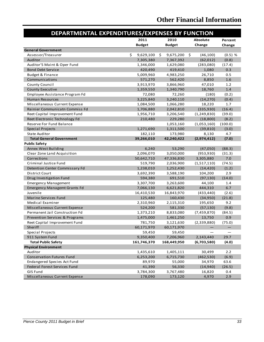| DEPARTMENTAL EXPENDITURES/EXPENSES BY FUNCTION |                 |                  |                  |           |
|------------------------------------------------|-----------------|------------------|------------------|-----------|
|                                                | 2011            | 2010             | <b>Absolute</b>  | Percent   |
|                                                | <b>Budget</b>   | <b>Budget</b>    | Change           | Change    |
| <b>General Government</b>                      |                 |                  |                  |           |
| Assessor/Treasurer                             | \$<br>9,629,100 | 9,675,200<br>\$. | \$.<br>(46, 100) | $(0.5)$ % |
| Auditor                                        | 7,305,380       | 7,367,392        | (62, 012)        | (0.8)     |
| Auditor'S Maint & Oper Fund                    | 1,346,000       | 1,629,080        | (283,080)        | (17.4)    |
| <b>Bond Debt Service</b>                       | 420,490         | 419,410          | 1,080            | 0.3       |
| Budget & Finance                               | 5,009,960       | 4,983,250        | 26,710           | 0.5       |
| Communications                                 | 571,270         | 562,420          | 8,850            | 1.6       |
| <b>County Council</b>                          | 3,913,970       | 3,866,960        | 47,010           | 1.2       |
| County Executive                               | 1,359,550       | 1,340,790        | 18,760           | $1.4$     |
| Employee Assistance Program Fd                 | 72,080          | 72,260           | (180)            | (0.2)     |
| <b>Human Resources</b>                         | 3,225,840       | 3,240,110        | (14, 270)        | (0.4)     |
| Miscellaneous Current Expense                  | 1,084,500       | 1,066,280        | 18,220           | 1.7       |
| Rainier Communicatn Commiss Fd                 | 1,706,880       | 2,042,810        | (335, 930)       | (16.4)    |
| Reet Capital Improvement Fund                  | 1,956,710       | 3,206,540        | (1, 249, 830)    | (39.0)    |
| Reet Electronic Technology Fd                  | 210,480         | 229,280          | (18, 800)        | (8.2)     |
| Reserve For Fund Balance                       |                 | 1,053,160        | (1,053,160)      | (100.0)   |
|                                                | 1,271,690       | 1,311,500        | (39, 810)        | (3.0)     |
| Special Projects<br><b>State Auditor</b>       | 182,110         | 173,980          | 8,130            | 4.7       |
| <b>Total General Government</b>                | 39,266,010      | 42,240,422       | (2,974,412)      | (7.0)     |
| <b>Public Safety</b>                           |                 |                  |                  |           |
| Annex West Building                            | 6,240           | 53,290           | (47,050)         | (88.3)    |
| Clear Zone Land Acquisition                    | 2,096,070       | 3,050,000        | (953, 930)       | (31.3)    |
| Corrections                                    | 50,642,710      | 47,336,830       | 3,305,880        | 7.0       |
| Criminal Justice Fund                          | 519,790         | 2,036,900        | (1,517,110)      | (74.5)    |
| Detention Center Commissary Fd                 | 1,238,010       | 1,252,430        | (14, 420)        | (1.2)     |
| District Court                                 | 3,692,390       | 3,588,190        | 104,200          | 2.9       |
|                                                |                 |                  |                  |           |
| Drug Investigation Fund                        | 594,380         | 691,510          | (97, 130)        | (14.0)    |
| <b>Emergency Management</b>                    | 3,307,700       | 3,263,600        | 44,100           | 1.4       |
| <b>Emergency Managemt Grants Fd</b>            | 7,066,130       | 6,621,820        | 444,310          | 6.7       |
| Juvenile                                       | 16,410,530      | 16,843,970       | (433, 440)       | (2.6)     |
| <b>Marine Services Fund</b>                    | 125,480         | 160,430          | (34,950)         | (21.8)    |
| Medical Examiner                               | 2,310,960       | 2,115,310        | 195,650          | 9.2       |
| Miscellaneous Current Expense                  | 524,200         | 581,330          | (57, 130)        | (9.8)     |
| Permanent Jail Construction Fd                 | 1,373,210       | 8,833,080        | (7,459,870)      | (84.5)    |
| Prevention Services & Programs                 | 1,475,000       | 1,461,250        | 13,750           | 0.9       |
| Reet Capital Improvement Fund                  | 781,750         | 3,121,630        | (2,339,880)      | (75.0)    |
| Sheriff                                        | 60,171,970      | 60,171,970       |                  |           |
| Special Projects                               | 59,450          | 59,450           |                  |           |
| 911 System Fund                                | 9,350,400       | 7,206,960        | 2,143,440        | 29.7      |
| <b>Total Public Safety</b>                     | 161,746,370     | 168,449,950      | (6,703,580)      | (4.0)     |
| <b>Physical Environment</b>                    |                 |                  |                  |           |
| Auditor                                        | 1,435,610       | 1,405,111        | 30,499           | 2.2       |
| <b>Conservation Futures Fund</b>               | 6,253,200       | 6,715,730        | (462, 530)       | (6.9)     |
| Endangered Species Act Fund                    | 89,970          | 55,000           | 34,970           | 63.6      |
| Federal Forest Services Fund                   | 41,390          | 56,330           | (14, 940)        | (26.5)    |
| <b>GIS Fund</b>                                | 3,784,300       | 3,767,480        | 16,820           | 0.4       |
| Miscellaneous Current Expense                  | 178,090         | 173,120          | 4,970            | 2.9       |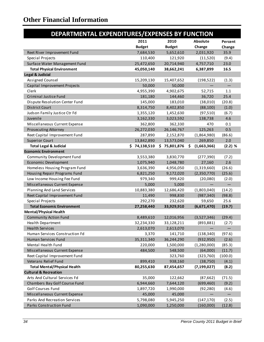| DEPARTMENTAL EXPENDITURES/EXPENSES BY FUNCTION |               |               |                    |           |
|------------------------------------------------|---------------|---------------|--------------------|-----------|
|                                                | 2011          | 2010          | Absolute           | Percent   |
|                                                | <b>Budget</b> | <b>Budget</b> | Change             | Change    |
| Reet River Improvement Fund                    | 7,684,530     | 5,652,610     | 2,031,920          | 35.9      |
| Special Projects                               | 110,400       | 121,920       | (11,520)           | (9.4)     |
| Surface Water Management Fund                  | 25,472,650    | 20,714,940    | 4,757,710          | 23.0      |
| <b>Total Physical Environment</b>              | 45,050,140    | 38,662,241    | 6,387,899          | 16.5      |
| <b>Legal &amp; Judicial</b>                    |               |               |                    |           |
| Assigned Counsel                               | 15,209,130    | 15,407,652    | (198, 522)         | (1.3)     |
| Capital Improvement Projects                   | 50,000        | 50,000        |                    |           |
| Clerk                                          | 4,955,390     | 4,902,675     | 52,715             | 1.1       |
| Criminal Justice Fund                          | 181,180       | 144,460       | 36,720             | 25.4      |
| Dispute Resolution Center Fund                 | 145,000       | 183,010       | (38,010)           | (20.8)    |
| <b>District Court</b>                          | 8,314,750     | 8,402,850     | (88, 100)          | (1.0)     |
| Judson Family Justice Ctr Fd                   | 1,355,120     | 1,452,630     | (97, 510)          | (6.7)     |
| Juvenile                                       | 3,162,330     | 3,023,592     | 138,738            | 4.6       |
| Miscellaneous Current Expense                  | 362,800       | 362,330       | 470                | 0.1       |
| Prosecuting Attorney                           | 26,272,030    | 26,146,767    | 125,263            | 0.5       |
| Reet Capital Improvement Fund                  | 287,890       | 2,152,870     | (1,864,980)        | (86.6)    |
| <b>Superior Court</b>                          | 13,842,890    | 13,573,040    | 269,850            | 2.0       |
|                                                |               | \$75,801,876  |                    |           |
| <b>Total Legal &amp; Judicial</b>              | \$74,138,510  |               | (1,663,366)<br>\$. | $(2.2)$ % |
| <b>Economic Environment</b>                    |               |               |                    |           |
| Community Development Fund                     | 3,553,380     | 3,830,770     | (277, 390)         | (7.2)     |
| Economic Development                           | 1,075,940     | 1,048,780     | 27,160             | 2.6       |
| Homeless Housing Program Fund                  | 3,636,390     | 4,956,050     | (1,319,660)        | (26.6)    |
| Housing Repair Programs Fund                   | 6,821,250     | 9,172,020     | (2,350,770)        | (25.6)    |
| Low Income Housing Fee Fund                    | 979,340       | 999,420       | (20,080)           | (2.0)     |
| Miscellaneous Current Expense                  | 5,000         | 5,000         |                    |           |
| Planning And Land Services                     | 10,883,380    | 12,686,420    | (1,803,040)        | (14.2)    |
| Reet Capital Improvement Fund                  | 11,490        | 998,830       | (987, 340)         | (98.8)    |
| Special Projects                               | 292,270       | 232,620       | 59,650             | 25.6      |
| <b>Total Economic Environment</b>              | 27,258,440    | 33,929,910    | (6,671,470)        | (19.7)    |
| <b>Mental/Physical Health</b>                  |               |               |                    |           |
| <b>Community Action Fund</b>                   | 8,489,610     | 12,016,956    | (3,527,346)        | (29.4)    |
| Health Department                              | 32,234,330    | 33,128,211    | (893, 881)         | (2.7)     |
| <b>Health Services</b>                         | 2,613,070     | 2,613,070     |                    |           |
| Human Services Construction Fd                 | 3,370         | 141,710       | (138, 340)         | (97.6)    |
| Human Services Fund                            | 35,311,340    | 36,244,290    | (932, 950)         | (2.6)     |
| Mental Health Fund                             | 220,000       | 1,500,000     | (1,280,000)        | (85.3)    |
| Miscellaneous Current Expense                  | 484,500       | 548,500       | (64,000)           | (11.7)    |
| Reet Capital Improvement Fund                  |               | 323,760       | (323,760)          | (100.0)   |
| Veterans Relief Fund                           | 899,410       | 938,160       | (38, 750)          | (4.1)     |
| <b>Total Mental/Physical Health</b>            | 80,255,630    | 87,454,657    | (7, 199, 027)      | (8.2)     |
| <b>Cultural &amp; Recreation</b>               |               |               |                    |           |
| Arts And Cultural Services Fd                  | 35,000        | 122,662       | (87, 662)          | (71.5)    |
| Chambers Bay Golf Course Fund                  | 6,944,660     | 7,644,120     | (699, 460)         | (9.2)     |
| Golf Courses Fund                              | 1,897,720     | 1,990,000     | (92, 280)          | (4.6)     |
| Miscellaneous Current Expense                  | 45,000        | 45,000        |                    |           |
| Parks And Recreation Services                  | 5,798,080     | 5,945,250     | (147, 170)         |           |
|                                                |               |               |                    | (2.5)     |
| Parks Construction Fund                        | 1,090,000     | 1,250,000     | (160,000)          | (12.8)    |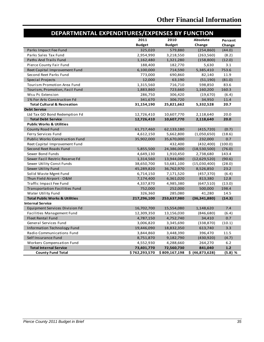| DEPARTMENTAL EXPENDITURES/EXPENSES BY FUNCTION |               |               |                 |           |  |  |  |
|------------------------------------------------|---------------|---------------|-----------------|-----------|--|--|--|
|                                                | 2011          | 2010          | <b>Absolute</b> | Percent   |  |  |  |
|                                                | <b>Budget</b> | <b>Budget</b> | Change          | Change    |  |  |  |
| Parks Impact Fee Fund                          | 325,020       | 579,880       | (254, 860)      | (44.0)    |  |  |  |
| Parks Sales Tax Fund                           | 2,954,990     | 3,218,550     | (263, 560)      | (8.2)     |  |  |  |
| Paths And Trails Fund                          | 1,162,480     | 1,321,280     | (158, 800)      | (12.0)    |  |  |  |
| Pierce County Fair Fund                        | 188,400       | 182,770       | 5,630           | 3.1       |  |  |  |
| Reet Capital Improvement Fund                  | 6,100,000     | 714,590       | 5,385,410       | 753.6     |  |  |  |
| Second Reet Parks Fund                         | 773,000       | 690,860       | 82,140          | 11.9      |  |  |  |
| <b>Special Projects</b>                        | 12,000        | 63,190        | (51, 190)       | (81.0)    |  |  |  |
| Tourism Promotion Area Fund                    | 1,315,560     | 716,710       | 598,850         | 83.6      |  |  |  |
| Tourism, Promotion, Facil Fund                 | 1,883,860     | 723,660       | 1,160,200       | 160.3     |  |  |  |
| Wsu Pc Extension                               | 286,750       | 306,420       | (19,670)        | (6.4)     |  |  |  |
| 1% For Arts Construction Fd                    | 341,670       | 306,720       | 34,950          | 11.4      |  |  |  |
| <b>Total Cultural &amp; Recreation</b>         | 31,154,190    | 25,821,662    | 5,332,528       | 20.7      |  |  |  |
| <b>Debt Service</b>                            |               |               |                 |           |  |  |  |
| Ltd Tax GO Bond Redemption Fd                  | 12,726,410    | 10,607,770    | 2,118,640       | 20.0      |  |  |  |
| <b>Total Debt Service</b>                      | 12,726,410    | 10,607,770    | 2,118,640       | 20.0      |  |  |  |
| <b>Public Works &amp; Utilities</b>            |               |               |                 |           |  |  |  |
| <b>County Road Fund</b>                        | 61,717,460    | 62,133,180    | (415, 720)      | (0.7)     |  |  |  |
| Ferry Services Fund                            | 4,612,150     | 5,662,800     | (1,050,650)     | (18.6)    |  |  |  |
| Public Works Construction Fund                 | 35,902,000    | 35,670,000    | 232,000         | 0.7       |  |  |  |
| Reet Capital Improvement Fund                  |               | 432,400       | (432, 400)      | (100.0)   |  |  |  |
| Second Reet Roads Fund                         | 5,855,500     | 24,386,000    | (18,530,500)    | (76.0)    |  |  |  |
| Sewer Bond Funds                               | 4,649,130     | 1,910,450     | 2,738,680       | 143.4     |  |  |  |
| Sewer Facil Restric Reserve Fd                 | 1,314,560     | 13,944,080    | (12,629,520)    | (90.6)    |  |  |  |
| Sewer Utility Const Funds                      | 38,650,700    | 53,681,100    | (15,030,400)    | (28.0)    |  |  |  |
| Sewer Utility Fund                             | 45,289,820    | 36,762,970    | 8,526,850       | 23.2      |  |  |  |
| Solid Waste Mgmt Fund                          | 6,714,150     | 7,171,520     | (457, 370)      | (6.4)     |  |  |  |
| Thun Field Airport - O&M                       | 7,174,400     | 6,361,020     | 813,380         | 12.8      |  |  |  |
| Traffic Impact Fee Fund                        | 4,337,870     | 4,985,380     | (647, 510)      | (13.0)    |  |  |  |
| <b>Transportation Facilities Fund</b>          | 752,000       | 252,000       | 500,000         | 198.4     |  |  |  |
| Water Utility Fund                             | 326,360       | 285,080       | 41,280          | 14.5      |  |  |  |
| <b>Total Public Works &amp; Utilities</b>      | 217,296,100   | 253,637,980   | (36, 341, 880)  | (14.3)    |  |  |  |
| <b>Internal Service</b>                        |               |               |                 |           |  |  |  |
| Equipment Services Division Fd                 | 16,702,700    | 15,554,080    | 1,148,620       | 7.4       |  |  |  |
| Facilities Management Fund                     | 12,309,350    | 13,156,030    | (846, 680)      | (6.4)     |  |  |  |
| <b>Fleet Rental Fund</b>                       | 4,787,150     | 4,752,740     | 34,410          | 0.7       |  |  |  |
| General Services Fund                          | 3,006,820     | 3,345,690     | (338, 870)      | (10.1)    |  |  |  |
| Information Technology Fund                    | 19,446,090    | 18,832,350    | 613,740         | 3.3       |  |  |  |
| Radio Communications Fund                      | 3,844,860     | 3,448,390     | 396,470         | 11.5      |  |  |  |
| Self Insurance Fund                            | 8,751,870     | 9,182,790     | (430, 920)      | (4.7)     |  |  |  |
| <b>Workers Compensation Fund</b>               | 4,552,930     | 4,288,660     | 264,270         | 6.2       |  |  |  |
| <b>Total Internal Service</b>                  | 73,401,770    | 72,560,730    | 841,040         | 1.2       |  |  |  |
| <b>County Fund Total</b>                       | \$762,293,570 | \$809,167,198 | \$ (46,873,628) | $(5.8)$ % |  |  |  |